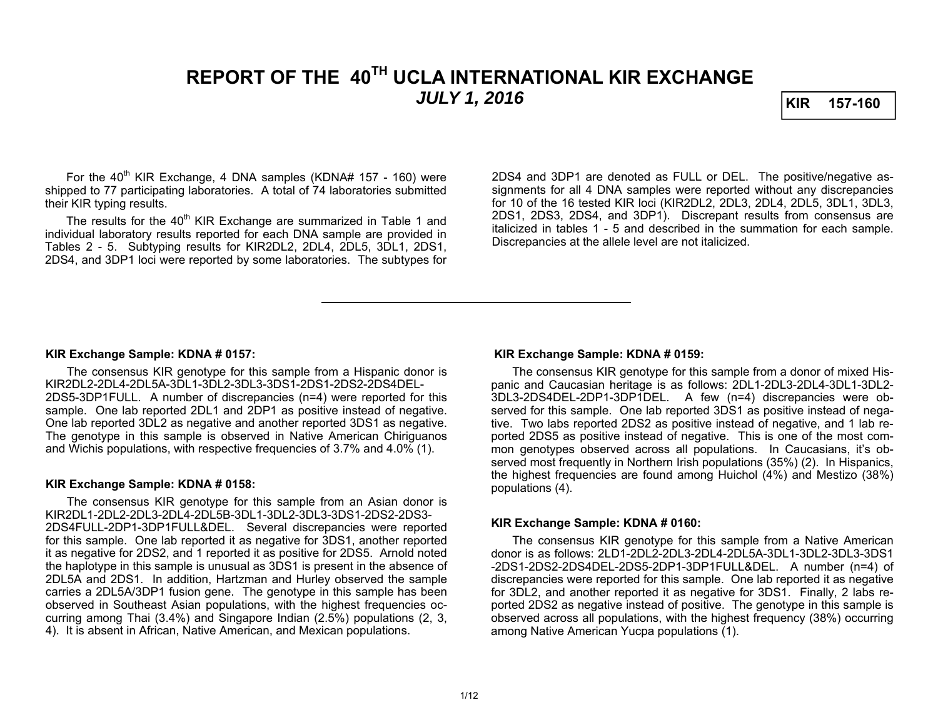# **REPORT OF THE 40TH UCLA INTERNATIONAL KIR EXCHANGE**  *JULY 1, 2016* **KIR 157-160**

For the  $40^{th}$  KIR Exchange, 4 DNA samples (KDNA# 157 - 160) were shipped to 77 participating laboratories. A total of 74 laboratories submitted their KIR typing results.

The results for the 40<sup>th</sup> KIR Exchange are summarized in Table 1 and individual laboratory results reported for each DNA sample are provided in Tables 2 - 5. Subtyping results for KIR2DL2, 2DL4, 2DL5, 3DL1, 2DS1, 2DS4, and 3DP1 loci were reported by some laboratories. The subtypes for

2DS4 and 3DP1 are denoted as FULL or DEL. The positive/negative assignments for all 4 DNA samples were reported without any discrepancies for 10 of the 16 tested KIR loci (KIR2DL2, 2DL3, 2DL4, 2DL5, 3DL1, 3DL3, 2DS1, 2DS3, 2DS4, and 3DP1). Discrepant results from consensus are italicized in tables 1 - 5 and described in the summation for each sample. Discrepancies at the allele level are not italicized.

#### **KIR Exchange Sample: KDNA # 0157:**

 The consensus KIR genotype for this sample from a Hispanic donor is KIR2DL2-2DL4-2DL5A-3DL1-3DL2-3DL3-3DS1-2DS1-2DS2-2DS4DEL-2DS5-3DP1FULL. A number of discrepancies (n=4) were reported for this sample. One lab reported 2DL1 and 2DP1 as positive instead of negative. One lab reported 3DL2 as negative and another reported 3DS1 as negative. The genotype in this sample is observed in Native American Chiriguanos and Wichis populations, with respective frequencies of 3.7% and 4.0% (1).

### **KIR Exchange Sample: KDNA # 0158:**

 The consensus KIR genotype for this sample from an Asian donor is KIR2DL1-2DL2-2DL3-2DL4-2DL5B-3DL1-3DL2-3DL3-3DS1-2DS2-2DS3-2DS4FULL-2DP1-3DP1FULL&DEL. Several discrepancies were reported for this sample. One lab reported it as negative for 3DS1, another reported it as negative for 2DS2, and 1 reported it as positive for 2DS5. Arnold noted the haplotype in this sample is unusual as 3DS1 is present in the absence of 2DL5A and 2DS1. In addition, Hartzman and Hurley observed the sample carries a 2DL5A/3DP1 fusion gene. The genotype in this sample has been observed in Southeast Asian populations, with the highest frequencies occurring among Thai (3.4%) and Singapore Indian (2.5%) populations (2, 3, 4). It is absent in African, Native American, and Mexican populations.

#### **KIR Exchange Sample: KDNA # 0159:**

 The consensus KIR genotype for this sample from a donor of mixed Hispanic and Caucasian heritage is as follows: 2DL1-2DL3-2DL4-3DL1-3DL2- 3DL3-2DS4DEL-2DP1-3DP1DEL. A few (n=4) discrepancies were observed for this sample. One lab reported 3DS1 as positive instead of negative. Two labs reported 2DS2 as positive instead of negative, and 1 lab reported 2DS5 as positive instead of negative. This is one of the most common genotypes observed across all populations. In Caucasians, it's observed most frequently in Northern Irish populations (35%) (2). In Hispanics, the highest frequencies are found among Huichol (4%) and Mestizo (38%) populations (4).

#### **KIR Exchange Sample: KDNA # 0160:**

The consensus KIR genotype for this sample from a Native American donor is as follows: 2LD1-2DL2-2DL3-2DL4-2DL5A-3DL1-3DL2-3DL3-3DS1-2DS1-2DS2-2DS4DEL-2DS5-2DP1-3DP1FULL&DEL. A number (n=4) of discrepancies were reported for this sample. One lab reported it as negative for 3DL2, and another reported it as negative for 3DS1. Finally, 2 labs reported 2DS2 as negative instead of positive. The genotype in this sample is observed across all populations, with the highest frequency (38%) occurring among Native American Yucpa populations (1).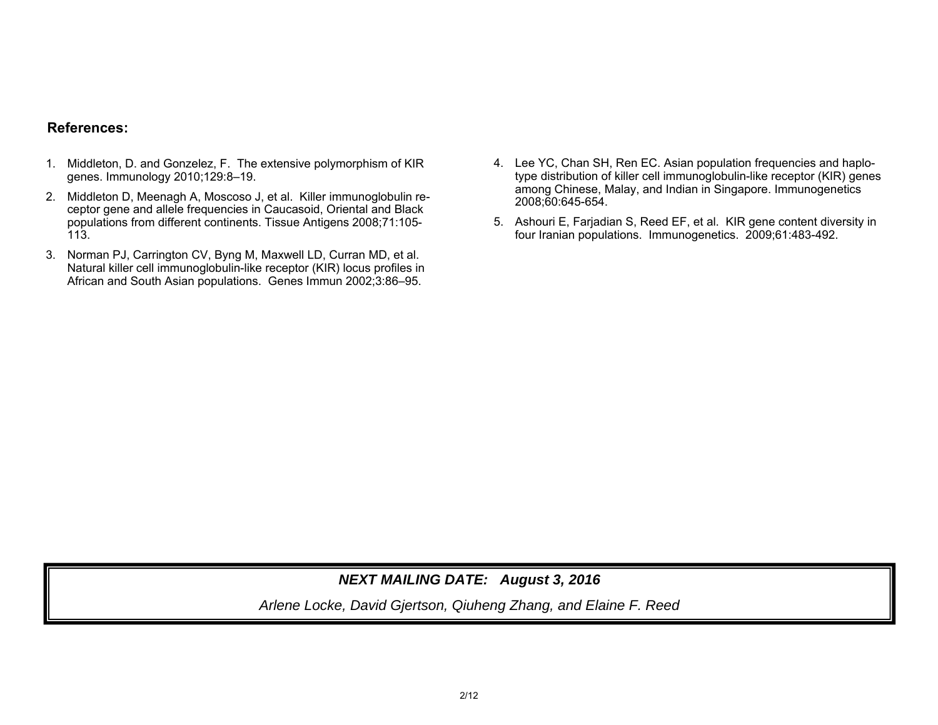### **References:**

- 1. Middleton, D. and Gonzelez, F. The extensive polymorphism of KIR genes. Immunology 2010;129:8–19.
- 2. Middleton D, Meenagh A, Moscoso J, et al. Killer immunoglobulin receptor gene and allele frequencies in Caucasoid, Oriental and Black populations from different continents. Tissue Antigens 2008;71:105- 113.
- 3. Norman PJ, Carrington CV, Byng M, Maxwell LD, Curran MD, et al. Natural killer cell immunoglobulin-like receptor (KIR) locus profiles in African and South Asian populations. Genes Immun 2002;3:86–95.
- 4. Lee YC, Chan SH, Ren EC. Asian population frequencies and haplotype distribution of killer cell immunoglobulin-like receptor (KIR) genes among Chinese, Malay, and Indian in Singapore. Immunogenetics 2008;60:645-654.
- 5. Ashouri E, Farjadian S, Reed EF, et al. KIR gene content diversity in four Iranian populations. Immunogenetics. 2009;61:483-492.

## *NEXT MAILING DATE: August 3, 2016*

*Arlene Locke, David Gjertson, Qiuheng Zhang, and Elaine F. Reed*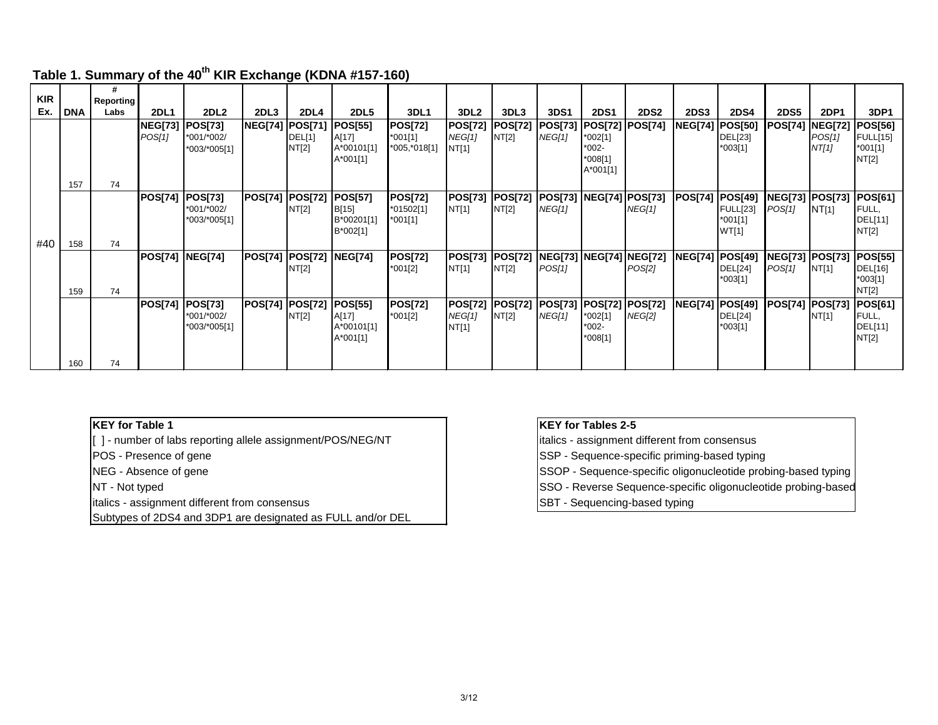|            |            | #                        |                |                  |                         |        |                  |                |                  |                |             |                                  |             |                        |                 |                        |                |                 |
|------------|------------|--------------------------|----------------|------------------|-------------------------|--------|------------------|----------------|------------------|----------------|-------------|----------------------------------|-------------|------------------------|-----------------|------------------------|----------------|-----------------|
| <b>KIR</b> |            | <b>Reporting</b><br>Labs |                |                  |                         |        |                  |                |                  |                |             |                                  |             |                        |                 |                        |                |                 |
| Ex.        | <b>DNA</b> |                          | <b>2DL1</b>    | 2DL <sub>2</sub> | 2DL3                    | 2DL4   | 2DL <sub>5</sub> | 3DL1           | 3DL <sub>2</sub> | 3DL3           | <b>3DS1</b> | <b>2DS1</b>                      | <b>2DS2</b> | <b>2DS3</b>            | <b>2DS4</b>     | <b>2DS5</b>            | <b>2DP1</b>    | 3DP1            |
|            |            |                          | <b>NEG[73]</b> | <b>POS[73]</b>   | <b>NEG[74]  POS[71]</b> |        | <b>POS[55]</b>   | <b>POS[72]</b> | <b>POS[72]</b>   | <b>POS[72]</b> |             | POS[73]  POS[72]  POS[74]        |             | NEG[74] POS[50]        |                 | POS[74]                | <b>NEG[72]</b> | <b>POS[56]</b>  |
|            |            |                          | POS[1]         | *001/*002/       |                         | DEL[1] | A[17]            | $*001[1]$      | NEG[1]           | NT[2]          | NEG[1]      | *002[1]                          |             |                        | <b>DEL[23]</b>  |                        | POS[1]         | <b>FULL[15]</b> |
|            |            |                          |                | *003/*005[1]     |                         | NT[2]  | A*00101[1]       | *005,*018[1]   | NT[1]            |                |             | *002-                            |             |                        | *003[1]         |                        | NT[1]          | $*001[1]$       |
|            |            |                          |                |                  |                         |        | A*001[1]         |                |                  |                |             | *008[1]                          |             |                        |                 |                        |                | NT[2]           |
|            |            |                          |                |                  |                         |        |                  |                |                  |                |             | A*001[1]                         |             |                        |                 |                        |                |                 |
|            | 157        | 74                       |                |                  |                         |        |                  |                |                  |                |             |                                  |             |                        |                 |                        |                |                 |
|            |            |                          | <b>POS[74]</b> | <b>POS[73]</b>   | <b>POS[74] [POS[72]</b> |        | <b>POS[57]</b>   | <b>POS[72]</b> | <b>POS[73]</b>   | <b>POS[72]</b> |             | POS[73]  NEG[74]  POS[73]        |             | <b>POS[74]</b>         | POS[49]         | <b>NEG[73] POS[73]</b> |                | <b>POS[61]</b>  |
|            |            |                          |                | *001/*002/       |                         | NT[2]  | B[15]            | $*01502[1]$    | NT[1]            | NT[2]          | NEG[1]      |                                  | NEG[1]      |                        | <b>FULL[23]</b> | POS[1]                 | NT[1]          | FULL,           |
|            |            |                          |                | *003/*005[1]     |                         |        | B*00201[1]       | *001[1]        |                  |                |             |                                  |             |                        | *001[1]         |                        |                | DEL[11]         |
|            |            |                          |                |                  |                         |        | B*002[1]         |                |                  |                |             |                                  |             |                        | WT[1]           |                        |                | NT[2]           |
| #40        | 158        | 74                       |                |                  |                         |        |                  |                |                  |                |             |                                  |             |                        |                 |                        |                |                 |
|            |            |                          | <b>POS[74]</b> | <b>NEG[74]</b>   | POS[74]  POS[72]        |        | <b>NEG[74]</b>   | <b>POS[72]</b> | <b>POS[73]</b>   | <b>POS[72]</b> |             | <b>NEG[73]  NEG[74]  NEG[72]</b> |             | <b>NEG[74] POS[49]</b> |                 | NEG[73] POS[73]        |                | <b>POS[55]</b>  |
|            |            |                          |                |                  |                         | NT[2]  |                  | *001[2]        | NT[1]            | NT[2]          | POS[1]      |                                  | POS[2]      |                        | <b>DEL[24]</b>  | POS[1]                 | NT[1]          | DEL[16]         |
|            |            |                          |                |                  |                         |        |                  |                |                  |                |             |                                  |             |                        | *003[1]         |                        |                | *003[1]         |
|            | 159        | 74                       |                |                  |                         |        |                  |                |                  |                |             |                                  |             |                        |                 |                        |                | NT[2]           |
|            |            |                          | <b>POS[74]</b> | <b>POS[73]</b>   | <b>POS[74] POS[72]</b>  |        | <b>POS[55]</b>   | <b>POS[72]</b> | <b>POS[72]</b>   | <b>POS[72]</b> |             | POS[73]  POS[72]  POS[72]        |             | <b>NEG[74] POS[49]</b> |                 | <b>POS[74]</b>         | <b>POS[73]</b> | <b>POS[61]</b>  |
|            |            |                          |                | *001/*002/       |                         | NT[2]  | A[17]            | *001[2]        | NEG[1]           | NT[2]          | NEG[1]      | *002[1]                          | NEG[2]      |                        | <b>DEL[24]</b>  |                        | NT[1]          | FULL,           |
|            |            |                          |                | *003/*005[1]     |                         |        | A*00101[1]       |                | NT[1]            |                |             | *002-                            |             |                        | *003[1]         |                        |                | DEL[11]         |
|            |            |                          |                |                  |                         |        | A*001[1]         |                |                  |                |             | *008[1]                          |             |                        |                 |                        |                | NT[2]           |
|            |            |                          |                |                  |                         |        |                  |                |                  |                |             |                                  |             |                        |                 |                        |                |                 |
|            |            |                          |                |                  |                         |        |                  |                |                  |                |             |                                  |             |                        |                 |                        |                |                 |
|            | 160        | 74                       |                |                  |                         |        |                  |                |                  |                |             |                                  |             |                        |                 |                        |                |                 |

## Table 1. Summary of the 40<sup>th</sup> KIR Exchange (KDNA #157-160)

### **KEY for Table 1**

[ ] - number of labs reporting allele assignment/POS/NEG/NT

POS - Presence of gene

NEG - Absence of gene

NT - Not typed

italics - assignment different from consensus

Subtypes of 2DS4 and 3DP1 are designated as FULL and/or DEL

### **KEY for Tables 2-5**

italics - assignment different from consensus

SSP - Sequence-specific priming-based typing

SSOP - Sequence-specific oligonucleotide probing-based typing

SSO - Reverse Sequence-specific oligonucleotide probing-based

SBT - Sequencing-based typing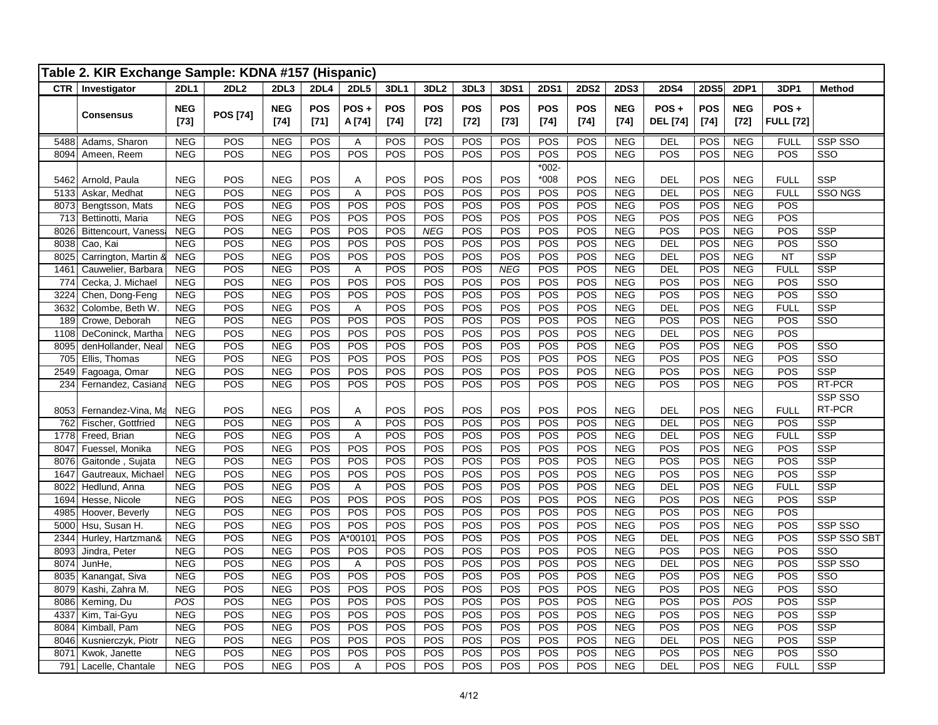|              | Table 2. KIR Exchange Sample: KDNA #157 (Hispanic) |                          |                  |                          |                      |                     |                      |                    |                      |                      |                    |                      |                          |                            |                      |                          |                            |                              |
|--------------|----------------------------------------------------|--------------------------|------------------|--------------------------|----------------------|---------------------|----------------------|--------------------|----------------------|----------------------|--------------------|----------------------|--------------------------|----------------------------|----------------------|--------------------------|----------------------------|------------------------------|
|              | <b>CTR</b>   Investigator                          | <b>2DL1</b>              | 2DL <sub>2</sub> | 2DL3                     | 2DL4                 | <b>2DL5</b>         | <b>3DL1</b>          | 3DL <sub>2</sub>   | 3DL3                 | 3DS1                 | <b>2DS1</b>        | <b>2DS2</b>          | <b>2DS3</b>              | <b>2DS4</b>                | <b>2DS5</b>          | <b>2DP1</b>              | 3DP1                       | <b>Method</b>                |
|              | <b>Consensus</b>                                   | <b>NEG</b><br>$[73]$     | <b>POS [74]</b>  | <b>NEG</b><br>$[74]$     | <b>POS</b><br>$[71]$ | $POS +$<br>A [74]   | <b>POS</b><br>$[74]$ | <b>POS</b><br>[72] | <b>POS</b><br>$[72]$ | <b>POS</b><br>$[73]$ | <b>POS</b><br>[74] | <b>POS</b><br>$[74]$ | <b>NEG</b><br>$[74]$     | $POS +$<br><b>DEL</b> [74] | <b>POS</b><br>$[74]$ | <b>NEG</b><br>$[72]$     | POS+<br><b>FULL [72]</b>   |                              |
| 5488         | Adams, Sharon                                      | <b>NEG</b>               | POS              | <b>NEG</b>               | POS                  | Α                   | POS                  | POS                | POS                  | POS                  | POS                | POS                  | <b>NEG</b>               | <b>DEL</b>                 | POS                  | <b>NEG</b>               | <b>FULL</b>                | SSP SSO                      |
| 8094         | Ameen, Reem                                        | <b>NEG</b>               | POS              | <b>NEG</b>               | POS                  | POS                 | POS                  | POS                | POS                  | POS                  | POS                | POS                  | <b>NEG</b>               | POS                        | POS                  | <b>NEG</b>               | POS                        | SSO                          |
|              |                                                    |                          |                  |                          |                      |                     |                      |                    |                      |                      | $*002 -$           |                      |                          |                            |                      |                          |                            |                              |
| 5462<br>5133 | Arnold, Paula<br>Askar, Medhat                     | <b>NEG</b><br><b>NEG</b> | POS<br>POS       | <b>NEG</b><br><b>NEG</b> | POS<br>POS           | A<br>$\overline{A}$ | POS<br>POS           | POS<br>POS         | POS<br>POS           | POS<br>POS           | $*008$<br>POS      | POS<br>POS           | <b>NEG</b><br><b>NEG</b> | <b>DEL</b><br>DEL          | <b>POS</b><br>POS    | <b>NEG</b><br><b>NEG</b> | <b>FULL</b><br><b>FULL</b> | <b>SSP</b><br><b>SSO NGS</b> |
| 8073         | Bengtsson, Mats                                    | <b>NEG</b>               | POS              | <b>NEG</b>               | POS                  | POS                 | POS                  | POS                | POS                  | POS                  | POS                | POS                  | <b>NEG</b>               | POS                        | POS                  | <b>NEG</b>               | POS                        |                              |
| 713          | Bettinotti, Maria                                  | <b>NEG</b>               | POS              | <b>NEG</b>               | POS                  | POS                 | POS                  | POS                | POS                  | POS                  | POS                | POS                  | <b>NEG</b>               | POS                        | POS                  | <b>NEG</b>               | POS                        |                              |
| 8026         | <b>Bittencourt, Vaness</b>                         | <b>NEG</b>               | POS              | <b>NEG</b>               | POS                  | POS                 | POS                  | <b>NEG</b>         | POS                  | POS                  | POS                | POS                  | <b>NEG</b>               | POS                        | POS                  | <b>NEG</b>               | POS                        | <b>SSP</b>                   |
| 8038         | Cao, Kai                                           | <b>NEG</b>               | POS              | <b>NEG</b>               | POS                  | POS                 | POS                  | POS                | POS                  | POS                  | POS                | POS                  | <b>NEG</b>               | DEL                        | POS                  | <b>NEG</b>               | POS                        | SSO                          |
| 8025         | Carrington, Martin 8                               | <b>NEG</b>               | POS              | <b>NEG</b>               | POS                  | POS                 | POS                  | POS                | POS                  | POS                  | POS                | POS                  | <b>NEG</b>               | <b>DEL</b>                 | POS                  | <b>NEG</b>               | <b>NT</b>                  | <b>SSP</b>                   |
| 1461         | Cauwelier, Barbara                                 | <b>NEG</b>               | POS              | <b>NEG</b>               | POS                  | Α                   | POS                  | POS                | POS                  | <b>NEG</b>           | POS                | POS                  | <b>NEG</b>               | <b>DEL</b>                 | POS                  | <b>NEG</b>               | <b>FULL</b>                | <b>SSP</b>                   |
| 774          | Cecka, J. Michael                                  | <b>NEG</b>               | POS              | <b>NEG</b>               | POS                  | POS                 | POS                  | POS                | POS                  | POS                  | POS                | POS                  | <b>NEG</b>               | POS                        | POS                  | <b>NEG</b>               | POS                        | SSO                          |
| 3224         | Chen, Dong-Feng                                    | <b>NEG</b>               | POS              | <b>NEG</b>               | POS                  | POS                 | POS                  | POS                | POS                  | POS                  | POS                | POS                  | <b>NEG</b>               | POS                        | POS                  | <b>NEG</b>               | POS                        | SSO                          |
| 3632         | Colombe, Beth W.                                   | <b>NEG</b>               | POS              | <b>NEG</b>               | POS                  | Α                   | POS                  | POS                | POS                  | POS                  | POS                | POS                  | <b>NEG</b>               | <b>DEL</b>                 | POS                  | <b>NEG</b>               | <b>FULL</b>                | <b>SSP</b>                   |
| 189          | Crowe, Deborah                                     | <b>NEG</b>               | POS              | <b>NEG</b>               | POS                  | POS                 | POS                  | POS                | POS                  | POS                  | POS                | POS                  | NEG                      | POS                        | POS                  | NEG                      | POS                        | $\overline{\text{SSO}}$      |
| 1108         | DeConinck, Martha                                  | <b>NEG</b>               | POS              | <b>NEG</b>               | POS                  | POS                 | POS                  | POS                | POS                  | POS                  | POS                | POS                  | <b>NEG</b>               | DEL                        | POS                  | NEG                      | POS                        |                              |
| 8095         | denHollander, Neal                                 | <b>NEG</b><br><b>NEG</b> | POS<br>POS       | <b>NEG</b><br><b>NEG</b> | POS<br>POS           | POS<br>POS          | POS<br>POS           | POS<br>POS         | POS<br>POS           | POS<br>POS           | POS<br>POS         | POS<br>POS           | <b>NEG</b><br><b>NEG</b> | POS<br>POS                 | POS<br>POS           | <b>NEG</b><br><b>NEG</b> | POS<br>POS                 | SSO<br>SSO                   |
| 705<br>2549  | Ellis, Thomas<br>Fagoaga, Omar                     | <b>NEG</b>               | POS              | <b>NEG</b>               | POS                  | POS                 | POS                  | POS                | POS                  | POS                  | POS                | POS                  | <b>NEG</b>               | POS                        | POS                  | <b>NEG</b>               | POS                        | <b>SSP</b>                   |
| 234          | Fernandez, Casiana                                 | <b>NEG</b>               | POS              | <b>NEG</b>               | POS                  | POS                 | POS                  | POS                | POS                  | POS                  | POS                | POS                  | <b>NEG</b>               | POS                        | POS                  | <b>NEG</b>               | POS                        | RT-PCR                       |
|              |                                                    |                          |                  |                          |                      |                     |                      |                    |                      |                      |                    |                      |                          |                            |                      |                          |                            | SSP SSO                      |
| 8053         | Fernandez-Vina, Ma                                 | <b>NEG</b>               | POS              | <b>NEG</b>               | POS                  | Α                   | POS                  | POS                | POS                  | POS                  | POS                | POS                  | <b>NEG</b>               | <b>DEL</b>                 | POS                  | <b>NEG</b>               | <b>FULL</b>                | RT-PCR                       |
| 762          | Fischer, Gottfried                                 | <b>NEG</b>               | POS              | <b>NEG</b>               | POS                  | A                   | POS                  | POS                | POS                  | POS                  | POS                | POS                  | NEG                      | <b>DEL</b>                 | POS                  | <b>NEG</b>               | POS                        | SSP                          |
| 1778         | Freed, Brian                                       | <b>NEG</b>               | POS              | <b>NEG</b>               | POS                  | Α                   | POS                  | POS                | POS                  | POS                  | POS                | POS                  | <b>NEG</b>               | <b>DEL</b>                 | POS                  | <b>NEG</b>               | <b>FULL</b>                | <b>SSP</b>                   |
| 8047         | Fuessel, Monika                                    | <b>NEG</b>               | POS              | <b>NEG</b>               | POS                  | POS                 | POS                  | POS                | POS                  | POS                  | POS                | POS                  | <b>NEG</b>               | POS                        | POS                  | <b>NEG</b>               | POS                        | <b>SSP</b>                   |
| 8076         | Gaitonde, Sujata                                   | <b>NEG</b>               | POS              | <b>NEG</b>               | POS                  | POS                 | POS                  | POS                | POS                  | POS                  | POS                | POS                  | <b>NEG</b>               | POS                        | POS                  | <b>NEG</b>               | POS                        | <b>SSP</b>                   |
| 1647         | Gautreaux, Michael                                 | <b>NEG</b>               | POS              | <b>NEG</b>               | POS                  | POS                 | POS                  | POS                | POS                  | POS                  | POS                | POS                  | <b>NEG</b>               | POS                        | <b>POS</b>           | <b>NEG</b>               | POS                        | <b>SSP</b>                   |
| 8022         | Hedlund, Anna                                      | <b>NEG</b>               | POS              | <b>NEG</b>               | POS                  | Α                   | POS                  | POS                | POS                  | POS                  | POS                | POS                  | <b>NEG</b>               | <b>DEL</b>                 | POS                  | <b>NEG</b>               | <b>FULL</b>                | <b>SSP</b>                   |
| 1694         | Hesse, Nicole                                      | <b>NEG</b>               | POS              | <b>NEG</b>               | POS                  | POS                 | POS<br>POS           | POS                | POS                  | POS                  | POS                | POS                  | <b>NEG</b>               | POS<br>POS                 | POS                  | <b>NEG</b>               | POS                        | <b>SSP</b>                   |
| 4985<br>5000 | Hoover, Beverly<br>Hsu, Susan H.                   | <b>NEG</b><br><b>NEG</b> | POS<br>POS       | <b>NEG</b><br><b>NEG</b> | POS<br>POS           | POS<br>POS          | POS                  | POS<br>POS         | POS<br>POS           | POS<br>POS           | POS<br>POS         | POS<br>POS           | <b>NEG</b><br><b>NEG</b> | POS                        | POS<br>POS           | <b>NEG</b><br><b>NEG</b> | POS<br>POS                 | SSP SSO                      |
|              | 2344 Hurley, Hartzman&                             | <b>NEG</b>               | POS              | <b>NEG</b>               | POS                  | A*00101             | POS                  | POS                | POS                  | POS                  | POS                | POS                  | NEG                      | DEL                        | POS                  | <b>NEG</b>               | POS                        | SSP SSO SBT                  |
| 8093         | Jindra, Peter                                      | <b>NEG</b>               | POS              | <b>NEG</b>               | POS                  | POS                 | POS                  | POS                | POS                  | POS                  | POS                | POS                  | <b>NEG</b>               | POS                        | POS                  | <b>NEG</b>               | POS                        | SSO                          |
| 8074         | JunHe,                                             | <b>NEG</b>               | POS              | <b>NEG</b>               | POS                  | Α                   | POS                  | POS                | POS                  | POS                  | POS                | POS                  | <b>NEG</b>               | DEL                        | POS                  | <b>NEG</b>               | POS                        | SSP SSO                      |
| 8035         | Kanangat, Siva                                     | <b>NEG</b>               | POS              | <b>NEG</b>               | POS                  | POS                 | POS                  | POS                | <b>POS</b>           | POS                  | POS                | POS                  | <b>NEG</b>               | POS                        | POS                  | <b>NEG</b>               | POS                        | SSO                          |
| 8079         | Kashi, Zahra M.                                    | <b>NEG</b>               | POS              | <b>NEG</b>               | POS                  | POS                 | POS                  | POS                | POS                  | POS                  | POS                | POS                  | <b>NEG</b>               | POS                        | POS                  | <b>NEG</b>               | POS                        | $\overline{\text{SSO}}$      |
| 8086         | Keming, Du                                         | POS                      | POS              | <b>NEG</b>               | POS                  | POS                 | POS                  | POS                | POS                  | POS                  | POS                | POS                  | <b>NEG</b>               | POS                        | POS                  | POS                      | POS                        | <b>SSP</b>                   |
| 4337         | Kim, Tai-Gyu                                       | <b>NEG</b>               | POS              | <b>NEG</b>               | POS                  | POS                 | POS                  | POS                | POS                  | POS                  | POS                | POS                  | <b>NEG</b>               | POS                        | POS                  | <b>NEG</b>               | POS                        | <b>SSP</b>                   |
| 8084         | Kimball, Pam                                       | <b>NEG</b>               | POS              | <b>NEG</b>               | POS                  | POS                 | POS                  | POS                | POS                  | POS                  | POS                | POS                  | <b>NEG</b>               | <b>POS</b>                 | POS                  | <b>NEG</b>               | POS                        | <b>SSP</b>                   |
| 8046         | Kusnierczyk, Piotr                                 | <b>NEG</b>               | POS              | <b>NEG</b>               | POS                  | POS                 | POS                  | POS                | POS                  | POS                  | POS                | POS                  | <b>NEG</b>               | <b>DEL</b>                 | POS                  | <b>NEG</b>               | POS                        | <b>SSP</b>                   |
| 8071         | Kwok, Janette                                      | <b>NEG</b>               | POS              | <b>NEG</b>               | POS                  | POS                 | POS                  | POS                | POS                  | POS                  | POS                | POS                  | <b>NEG</b>               | POS                        | POS                  | <b>NEG</b>               | POS                        | SSO                          |
| 791          | Lacelle, Chantale                                  | <b>NEG</b>               | POS              | <b>NEG</b>               | POS                  | Α                   | POS                  | POS                | POS                  | POS                  | POS                | POS                  | <b>NEG</b>               | <b>DEL</b>                 | POS                  | <b>NEG</b>               | <b>FULL</b>                | <b>SSP</b>                   |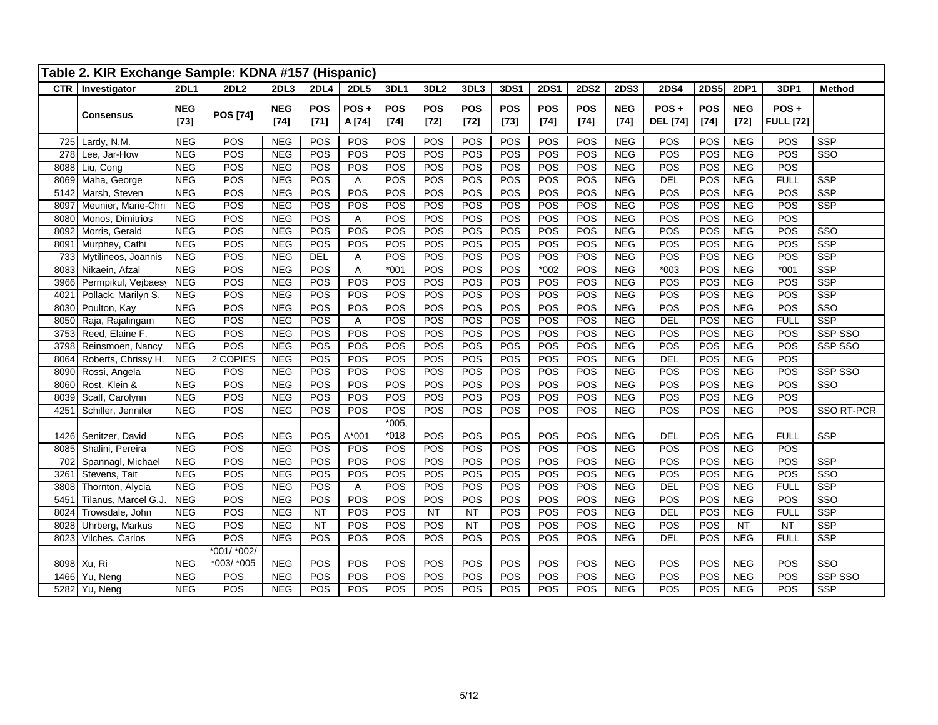|            | Table 2. KIR Exchange Sample: KDNA #157 (Hispanic) |                      |                 |                      |                      |                |                      |                      |                      |                      |                      |               |                      |                            |                      |                      |                          |                         |
|------------|----------------------------------------------------|----------------------|-----------------|----------------------|----------------------|----------------|----------------------|----------------------|----------------------|----------------------|----------------------|---------------|----------------------|----------------------------|----------------------|----------------------|--------------------------|-------------------------|
| <b>CTR</b> | Investigator                                       | <b>2DL1</b>          | 2DL2            | 2DL <sub>3</sub>     | <b>2DL4</b>          | <b>2DL5</b>    | 3DL1                 | 3DL <sub>2</sub>     | 3DL3                 | 3DS1                 | <b>2DS1</b>          | <b>2DS2</b>   | <b>2DS3</b>          | 2DS4                       | <b>2DS5</b>          | <b>2DP1</b>          | 3DP1                     | <b>Method</b>           |
|            | <b>Consensus</b>                                   | <b>NEG</b><br>$[73]$ | <b>POS [74]</b> | <b>NEG</b><br>$[74]$ | <b>POS</b><br>$[71]$ | POS+<br>A [74] | <b>POS</b><br>$[74]$ | <b>POS</b><br>$[72]$ | <b>POS</b><br>$[72]$ | <b>POS</b><br>$[73]$ | <b>POS</b><br>$[74]$ | POS<br>$[74]$ | <b>NEG</b><br>$[74]$ | $POS +$<br><b>DEL</b> [74] | <b>POS</b><br>$[74]$ | <b>NEG</b><br>$[72]$ | POS+<br><b>FULL [72]</b> |                         |
| 725        | Lardy, N.M.                                        | <b>NEG</b>           | POS             | <b>NEG</b>           | POS                  | POS            | POS                  | POS                  | POS                  | POS                  | POS                  | POS           | <b>NEG</b>           | <b>POS</b>                 | POS                  | NEG                  | POS                      | <b>SSP</b>              |
| 278        | Lee, Jar-How                                       | <b>NEG</b>           | POS             | NEG                  | POS                  | POS            | POS                  | POS                  | POS                  | POS                  | POS                  | POS           | <b>NEG</b>           | POS                        | POS                  | <b>NEG</b>           | POS                      | SSO                     |
| 8088       | Liu, Cong                                          | <b>NEG</b>           | POS             | NEG                  | POS                  | POS            | POS                  | POS                  | POS                  | POS                  | POS                  | POS           | <b>NEG</b>           | POS                        | POS                  | <b>NEG</b>           | POS                      |                         |
| 8069       | Maha, George                                       | <b>NEG</b>           | POS             | <b>NEG</b>           | POS                  | A              | POS                  | POS                  | POS                  | POS                  | POS                  | POS           | <b>NEG</b>           | DEL                        | POS                  | <b>NEG</b>           | <b>FULL</b>              | <b>SSP</b>              |
| 5142       | Marsh, Steven                                      | <b>NEG</b>           | POS             | <b>NEG</b>           | POS                  | POS            | POS                  | POS                  | POS                  | POS                  | POS                  | POS           | <b>NEG</b>           | POS                        | POS                  | <b>NEG</b>           | POS                      | SSP                     |
| 8097       | Meunier, Marie-Chri                                | <b>NEG</b>           | POS             | <b>NEG</b>           | POS                  | POS            | POS                  | POS                  | POS                  | POS                  | POS                  | POS           | <b>NEG</b>           | POS                        | POS                  | <b>NEG</b>           | POS                      | SSP                     |
| 8080       | Monos, Dimitrios                                   | <b>NEG</b>           | POS             | <b>NEG</b>           | POS                  | A              | POS                  | POS                  | POS                  | POS                  | POS                  | POS           | <b>NEG</b>           | POS                        | POS                  | <b>NEG</b>           | POS                      |                         |
| 8092       | Morris, Gerald                                     | <b>NEG</b>           | POS             | NEG                  | POS                  | POS            | POS                  | POS                  | POS                  | POS                  | POS                  | POS           | <b>NEG</b>           | POS                        | POS                  | <b>NEG</b>           | POS                      | SSO                     |
| 8091       | Murphey, Cathi                                     | <b>NEG</b>           | POS             | NEG                  | POS                  | POS            | POS                  | POS                  | POS                  | POS                  | POS                  | <b>POS</b>    | <b>NEG</b>           | POS                        | POS                  | <b>NEG</b>           | POS                      | <b>SSP</b>              |
| 733        | Mytilineos, Joannis                                | <b>NEG</b>           | POS             | <b>NEG</b>           | DEL                  | $\overline{A}$ | POS                  | POS                  | POS                  | POS                  | POS                  | POS           | <b>NEG</b>           | POS                        | POS                  | <b>NEG</b>           | POS                      | SSP                     |
| 8083       | Nikaein, Afzal                                     | <b>NEG</b>           | POS             | <b>NEG</b>           | POS                  | A              | $*001$               | POS                  | POS                  | POS                  | $*002$               | POS           | <b>NEG</b>           | $*003$                     | POS                  | <b>NEG</b>           | $*001$                   | SSP                     |
| 3966       | Permpikul, Vejbaesy                                | <b>NEG</b>           | POS             | NEG                  | POS                  | POS            | POS                  | POS                  | POS                  | POS                  | POS                  | POS           | NEG                  | POS                        | POS                  | NEG                  | POS                      | <b>SSP</b>              |
| 4021       | Pollack, Marilyn S.                                | <b>NEG</b>           | POS             | <b>NEG</b>           | POS                  | POS            | POS                  | POS                  | POS                  | POS                  | POS                  | POS           | <b>NEG</b>           | POS                        | POS                  | <b>NEG</b>           | POS                      | <b>SSP</b>              |
| 8030       | Poulton, Kay                                       | <b>NEG</b>           | POS             | <b>NEG</b>           | POS                  | POS            | POS                  | POS                  | POS                  | POS                  | POS                  | POS           | <b>NEG</b>           | POS                        | POS                  | <b>NEG</b>           | POS                      | SSO                     |
| 8050       | Raja, Rajalingam                                   | <b>NEG</b>           | POS             | <b>NEG</b>           | <b>POS</b>           | A              | POS                  | POS                  | POS                  | POS                  | POS                  | POS           | <b>NEG</b>           | <b>DEL</b>                 | POS                  | <b>NEG</b>           | <b>FULL</b>              | SSP                     |
| 3753       | Reed, Elaine F.                                    | NEG                  | POS             | <b>NEG</b>           | POS                  | POS            | POS                  | POS                  | POS                  | POS                  | POS                  | POS           | NEG                  | POS                        | POS                  | NEG                  | POS                      | SSP SSO                 |
| 3798       | Reinsmoen, Nancy                                   | <b>NEG</b>           | POS             | NEG                  | POS                  | POS            | POS                  | POS                  | POS                  | POS                  | POS                  | POS           | <b>NEG</b>           | POS                        | POS                  | <b>NEG</b>           | POS                      | SSP SSO                 |
| 8064       | Roberts, Chrissy H.                                | <b>NEG</b>           | 2 COPIES        | <b>NEG</b>           | POS                  | POS            | POS                  | POS                  | POS                  | POS                  | POS                  | POS           | <b>NEG</b>           | <b>DEL</b>                 | POS                  | <b>NEG</b>           | POS                      |                         |
| 8090       | Rossi, Angela                                      | <b>NEG</b>           | POS             | <b>NEG</b>           | POS                  | POS            | POS                  | POS                  | POS                  | POS                  | POS                  | POS           | <b>NEG</b>           | POS                        | POS                  | <b>NEG</b>           | POS                      | SSP SSO                 |
| 8060       | Rost, Klein &                                      | <b>NEG</b>           | POS             | <b>NEG</b>           | POS                  | POS            | POS                  | POS                  | POS                  | POS                  | POS                  | POS           | <b>NEG</b>           | POS                        | POS                  | <b>NEG</b>           | POS                      | $\overline{\text{SSO}}$ |
| 8039       | Scalf, Carolynn                                    | NEG                  | POS             | NEG                  | POS                  | POS            | POS                  | POS                  | POS                  | POS                  | POS                  | POS           | NEG                  | POS                        | POS                  | NEG                  | POS                      |                         |
| 4251       | Schiller, Jennifer                                 | <b>NEG</b>           | <b>POS</b>      | <b>NEG</b>           | POS                  | POS            | POS                  | POS                  | POS                  | POS                  | POS                  | POS           | <b>NEG</b>           | POS                        | POS                  | <b>NEG</b>           | POS                      | SSO RT-PCR              |
|            |                                                    |                      |                 |                      |                      |                | $*005,$<br>$*018$    |                      |                      |                      |                      |               |                      |                            |                      |                      |                          |                         |
| 1426       | Senitzer, David                                    | <b>NEG</b>           | POS             | <b>NEG</b>           | POS                  | A*001          |                      | POS                  | POS                  | POS                  | POS                  | POS           | <b>NEG</b>           | <b>DEL</b>                 | POS                  | <b>NEG</b>           | <b>FULL</b>              | SSP                     |
| 8085       | Shalini, Pereira                                   | <b>NEG</b>           | <b>POS</b>      | <b>NEG</b>           | POS                  | POS            | POS                  | POS                  | POS                  | POS                  | POS                  | POS           | <b>NEG</b>           | POS                        | POS                  | <b>NEG</b>           | POS                      |                         |
| 702        | Spannagl, Michael                                  | <b>NEG</b>           | POS             | <b>NEG</b>           | POS                  | POS            | POS                  | POS                  | POS                  | POS                  | POS                  | POS           | <b>NEG</b>           | POS                        | POS                  | <b>NEG</b>           | POS                      | <b>SSP</b>              |
| 326'       | Stevens, Tait                                      | <b>NEG</b>           | POS             | <b>NEG</b>           | POS                  | POS            | POS                  | POS                  | POS                  | POS                  | POS                  | POS           | <b>NEG</b>           | POS                        | POS                  | <b>NEG</b>           | POS                      | SSO                     |
| 3808       | Thornton, Alycia                                   | <b>NEG</b>           | POS             | <b>NEG</b>           | POS                  | Α              | POS                  | POS                  | POS                  | POS                  | POS                  | POS           | <b>NEG</b>           | DEL                        | POS                  | <b>NEG</b>           | <b>FULL</b>              | <b>SSP</b>              |
| 5451       | Tilanus, Marcel G.J                                | <b>NEG</b>           | POS             | NEG                  | POS                  | POS            | POS                  | POS                  | POS                  | POS                  | POS                  | POS           | NEG                  | POS                        | POS                  | <b>NEG</b>           | POS                      | $\overline{\text{SSO}}$ |
| 8024       | Trowsdale, John                                    | <b>NEG</b>           | <b>POS</b>      | <b>NEG</b>           | <b>NT</b>            | POS            | POS                  | <b>NT</b>            | <b>NT</b>            | POS                  | POS                  | POS           | <b>NEG</b>           | <b>DEL</b>                 | POS                  | <b>NEG</b>           | <b>FULL</b>              | SSP                     |
| 8028       | Uhrberg, Markus                                    | <b>NEG</b>           | POS             | <b>NEG</b>           | <b>NT</b>            | POS            | POS                  | POS                  | <b>NT</b>            | POS                  | POS                  | POS           | <b>NEG</b>           | POS                        | POS                  | <b>NT</b>            | <b>NT</b>                | <b>SSP</b>              |
| 8023       | Vilches, Carlos                                    | <b>NEG</b>           | POS             | <b>NEG</b>           | POS                  | POS            | POS                  | POS                  | POS                  | POS                  | POS                  | POS           | <b>NEG</b>           | <b>DEL</b>                 | POS                  | <b>NEG</b>           | <b>FULL</b>              | <b>SSP</b>              |
|            |                                                    |                      | *001/ *002/     |                      |                      |                |                      |                      |                      |                      |                      |               |                      |                            |                      |                      |                          |                         |
| 8098       | Xu, Ri                                             | <b>NEG</b>           | *003/ *005      | <b>NEG</b>           | POS                  | POS            | POS                  | <b>POS</b>           | POS                  | POS                  | POS                  | POS           | <b>NEG</b>           | POS                        | POS                  | <b>NEG</b>           | POS                      | SSO                     |
| 1466       | Yu, Neng                                           | <b>NEG</b>           | POS             | NEG                  | POS                  | POS            | POS                  | POS                  | POS                  | POS                  | POS                  | POS           | NEG                  | POS                        | POS                  | <b>NEG</b>           | POS                      | SSP SSO                 |
| 5282       | Yu, Neng                                           | NEG                  | POS             | <b>NEG</b>           | POS                  | POS            | POS                  | POS                  | POS                  | POS                  | POS                  | POS           | NEG                  | POS                        | POS                  | NEG                  | POS                      | <b>SSP</b>              |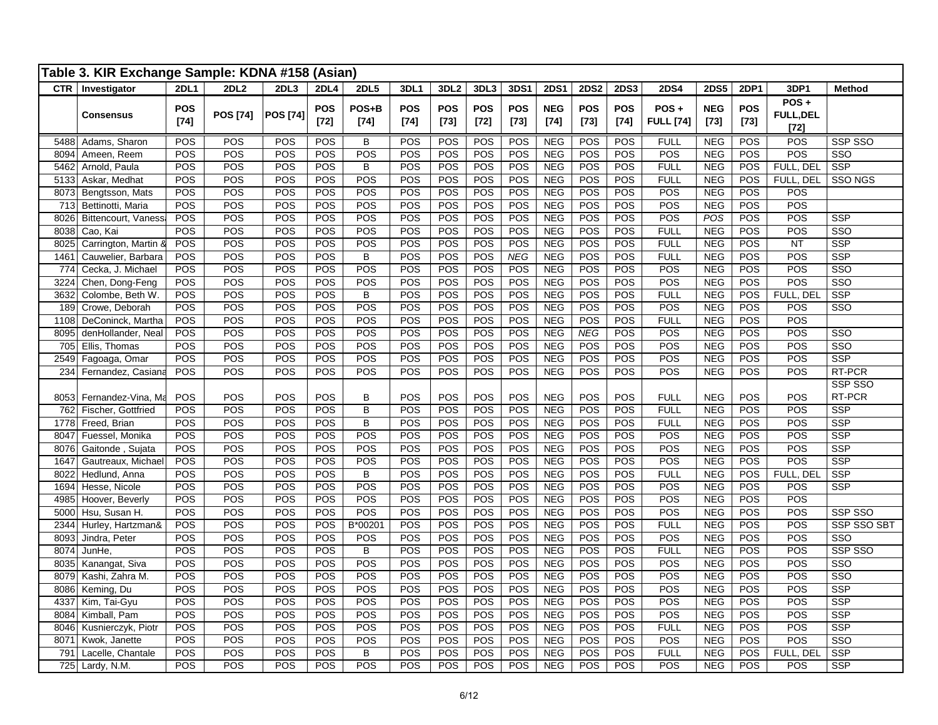|              | Table 3. KIR Exchange Sample: KDNA #158 (Asian) |                      |                 |                 |                      |                 |                      |                      |                      |                      |                          |                      |                      |                          |                          |                      |                                    |                                       |
|--------------|-------------------------------------------------|----------------------|-----------------|-----------------|----------------------|-----------------|----------------------|----------------------|----------------------|----------------------|--------------------------|----------------------|----------------------|--------------------------|--------------------------|----------------------|------------------------------------|---------------------------------------|
|              | CTR   Investigator                              | <b>2DL1</b>          | 2DL2            | 2DL3            | 2DL4                 | <b>2DL5</b>     | 3DL1                 | 3DL <sub>2</sub>     | 3DL3                 | 3DS1                 | <b>2DS1</b>              | <b>2DS2</b>          | <b>2DS3</b>          | <b>2DS4</b>              | <b>2DS5</b>              | <b>2DP1</b>          | 3DP1                               | Method                                |
|              | <b>Consensus</b>                                | <b>POS</b><br>$[74]$ | <b>POS [74]</b> | <b>POS [74]</b> | <b>POS</b><br>$[72]$ | POS+B<br>$[74]$ | <b>POS</b><br>$[74]$ | <b>POS</b><br>$[73]$ | <b>POS</b><br>$[72]$ | <b>POS</b><br>$[73]$ | <b>NEG</b><br>$[74]$     | <b>POS</b><br>$[73]$ | <b>POS</b><br>$[74]$ | POS+<br><b>FULL</b> [74] | <b>NEG</b><br>$[73]$     | <b>POS</b><br>$[73]$ | POS+<br><b>FULL, DEL</b><br>$[72]$ |                                       |
| 5488         | Adams, Sharon                                   | POS                  | POS             | POS             | <b>POS</b>           | B               | POS                  | POS                  | POS                  | POS                  | <b>NEG</b>               | POS                  | POS                  | <b>FULL</b>              | <b>NEG</b>               | POS                  | POS                                | SSP SSO                               |
| 8094         | Ameen, Reem                                     | POS                  | POS             | POS             | POS                  | POS             | POS                  | POS                  | POS                  | POS                  | <b>NEG</b>               | POS                  | POS                  | POS                      | <b>NEG</b>               | POS                  | POS                                | SSO                                   |
| 5462         | Arnold, Paula                                   | POS                  | POS             | POS             | POS                  | B               | POS                  | POS                  | POS                  | POS                  | <b>NEG</b>               | POS                  | POS                  | <b>FULL</b>              | <b>NEG</b>               | POS                  | FULL, DEL                          | <b>SSP</b>                            |
| 5133         | Askar, Medhat                                   | <b>POS</b>           | POS             | POS             | <b>POS</b>           | POS             | POS                  | POS                  | POS                  | POS                  | NEG                      | POS                  | POS                  | <b>FULL</b>              | <b>NEG</b>               | POS                  | FULL, DEL                          | SSO NGS                               |
| 8073         | Bengtsson, Mats                                 | POS                  | POS             | POS             | POS                  | POS             | POS                  | POS                  | POS                  | POS                  | NEG                      | POS                  | POS                  | POS                      | <b>NEG</b>               | POS                  | POS                                |                                       |
| 713<br>8026  | Bettinotti, Maria                               | POS<br>POS           | POS             | POS             | POS                  | POS             | POS                  | POS                  | POS                  | POS<br>POS           | <b>NEG</b><br><b>NEG</b> | POS                  | POS                  | POS                      | <b>NEG</b>               | POS                  | POS                                |                                       |
| 8038         | <b>Bittencourt, Vaness</b><br>Cao, Kai          | POS                  | POS<br>POS      | POS<br>POS      | POS<br>POS           | POS<br>POS      | POS<br>POS           | POS<br>POS           | POS<br>POS           | POS                  | NEG                      | POS<br>POS           | POS<br>POS           | POS<br><b>FULL</b>       | POS<br>NEG               | POS<br>POS           | POS<br>POS                         | <b>SSP</b><br>$\overline{\text{SSO}}$ |
| 8025         | Carrington, Martin 8                            | POS                  | POS             | POS             | <b>POS</b>           | POS             | POS                  | POS                  | POS                  | POS                  | NEG                      | POS                  | POS                  | <b>FULL</b>              | <b>NEG</b>               | POS                  | <b>NT</b>                          | <b>SSP</b>                            |
| 1461         | Cauwelier, Barbara                              | POS                  | POS             | POS             | POS                  | B               | POS                  | POS                  | POS                  | NEG                  | <b>NEG</b>               | POS                  | POS                  | <b>FULL</b>              | <b>NEG</b>               | POS                  | POS                                | <b>SSP</b>                            |
| 774          | Cecka, J. Michael                               | POS                  | POS             | POS             | POS                  | POS             | POS                  | POS                  | POS                  | POS                  | <b>NEG</b>               | POS                  | POS                  | POS                      | <b>NEG</b>               | POS                  | POS                                | $\overline{\text{SSO}}$               |
| 3224         | Chen, Dong-Feng                                 | POS                  | POS             | POS             | POS                  | POS             | POS                  | POS                  | POS                  | POS                  | <b>NEG</b>               | POS                  | POS                  | POS                      | <b>NEG</b>               | POS                  | POS                                | SSO                                   |
| 3632         | Colombe, Beth W.                                | POS                  | POS             | POS             | <b>POS</b>           | B               | POS                  | POS                  | POS                  | POS                  | NEG                      | POS                  | POS                  | <b>FULL</b>              | <b>NEG</b>               | POS                  | FULL, DEL                          | <b>SSP</b>                            |
| 189          | Crowe, Deborah                                  | POS                  | POS             | POS             | POS                  | POS             | POS                  | POS                  | POS                  | POS                  | <b>NEG</b>               | POS                  | POS                  | POS                      | <b>NEG</b>               | POS                  | POS                                | $\overline{\text{SSO}}$               |
| 1108         | DeConinck, Martha                               | POS                  | POS             | POS             | POS                  | POS             | POS                  | POS                  | POS                  | POS                  | NEG                      | POS                  | POS                  | <b>FULL</b>              | <b>NEG</b>               | POS                  | POS                                |                                       |
| 8095         | denHollander, Neal                              | POS                  | POS             | POS             | POS                  | POS             | POS                  | POS                  | POS                  | POS                  | <b>NEG</b>               | <b>NEG</b>           | POS                  | POS                      | NEG                      | POS                  | POS                                | $\overline{\text{SSO}}$               |
| 705          | Ellis, Thomas                                   | POS                  | POS             | POS             | POS                  | POS             | POS                  | POS                  | POS                  | POS                  | <b>NEG</b>               | POS                  | POS                  | POS                      | <b>NEG</b>               | POS                  | POS                                | SSO                                   |
| 2549         | Fagoaga, Omar                                   | POS                  | POS             | POS             | POS                  | POS             | POS                  | POS                  | POS                  | POS                  | NEG                      | POS                  | POS                  | POS                      | <b>NEG</b>               | POS                  | POS                                | <b>SSP</b>                            |
| 234          | Fernandez, Casiana                              | POS                  | POS             | POS             | POS                  | POS             | POS                  | POS                  | POS                  | POS                  | <b>NEG</b>               | POS                  | POS                  | POS                      | <b>NEG</b>               | POS                  | POS                                | RT-PCR                                |
|              |                                                 |                      |                 |                 |                      |                 |                      |                      |                      |                      |                          |                      |                      |                          |                          |                      |                                    | SSP SSO                               |
| 8053         | Fernandez-Vina, Ma                              | POS                  | <b>POS</b>      | POS             | <b>POS</b>           | B               | POS                  | POS                  | POS                  | POS                  | <b>NEG</b>               | POS                  | POS                  | <b>FULL</b>              | <b>NEG</b>               | POS                  | POS                                | RT-PCR                                |
| 762          | Fischer, Gottfried                              | POS                  | POS             | POS             | POS                  | B               | POS                  | POS                  | POS                  | POS                  | <b>NEG</b>               | POS                  | POS                  | <b>FULL</b>              | <b>NEG</b>               | POS                  | POS                                | <b>SSP</b>                            |
| 1778         | Freed, Brian                                    | POS                  | POS             | POS             | POS                  | B               | POS                  | POS                  | POS                  | POS                  | <b>NEG</b>               | POS                  | POS                  | <b>FULL</b>              | <b>NEG</b>               | POS                  | POS                                | <b>SSP</b>                            |
| 8047         | Fuessel, Monika                                 | POS                  | POS             | POS             | POS                  | POS             | POS                  | POS                  | POS                  | POS                  | <b>NEG</b>               | POS                  | POS                  | POS                      | <b>NEG</b>               | POS                  | POS                                | <b>SSP</b>                            |
| 8076         | Gaitonde, Sujata                                | POS                  | POS             | POS             | POS                  | POS             | POS                  | POS                  | POS                  | POS                  | NEG                      | POS                  | POS                  | POS                      | NEG                      | POS                  | POS                                | <b>SSP</b>                            |
| 1647         | Gautreaux, Michael                              | POS                  | POS             | POS             | POS                  | POS<br>B        | POS<br>POS           | POS<br>POS           | POS<br>POS           | POS<br>POS           | <b>NEG</b>               | POS                  | POS                  | POS                      | <b>NEG</b>               | POS                  | POS                                | <b>SSP</b><br><b>SSP</b>              |
| 8022<br>1694 | Hedlund, Anna<br>Hesse, Nicole                  | POS<br>POS           | POS<br>POS      | POS<br>POS      | <b>POS</b><br>POS    | POS             | POS                  | POS                  | POS                  | POS                  | <b>NEG</b><br><b>NEG</b> | POS<br>POS           | POS<br>POS           | <b>FULL</b><br>POS       | <b>NEG</b><br><b>NEG</b> | POS<br>POS           | FULL, DEL<br>POS                   | <b>SSP</b>                            |
| 4985         | Hoover, Beverly                                 | POS                  | POS             | POS             | POS                  | POS             | POS                  | POS                  | POS                  | POS                  | <b>NEG</b>               | POS                  | POS                  | POS                      | <b>NEG</b>               | POS                  | POS                                |                                       |
| 5000         | Hsu, Susan H.                                   | POS                  | POS             | POS             | POS                  | POS             | POS                  | POS                  | POS                  | POS                  | NEG                      | POS                  | POS                  | POS                      | <b>NEG</b>               | POS                  | POS                                | SSP SSO                               |
| 2344         | Hurley, Hartzman&                               | POS                  | POS             | POS             | POS                  | B*00201         | POS                  | POS                  | POS                  | POS                  | <b>NEG</b>               | POS                  | POS                  | <b>FULL</b>              | <b>NEG</b>               | POS                  | POS                                | SSP SSO SBT                           |
| 8093         | Jindra, Peter                                   | POS                  | POS             | POS             | <b>POS</b>           | POS             | POS                  | POS                  | POS                  | POS                  | NEG                      | POS                  | POS                  | POS                      | <b>NEG</b>               | POS                  | POS                                | SSO                                   |
| 8074         | JunHe,                                          | POS                  | POS             | POS             | <b>POS</b>           | $\overline{B}$  | POS                  | POS                  | POS                  | POS                  | <b>NEG</b>               | POS                  | POS                  | <b>FULL</b>              | <b>NEG</b>               | POS                  | POS                                | SSP SSO                               |
| 8035         | Kanangat, Siva                                  | POS                  | POS             | POS             | POS                  | POS             | POS                  | POS                  | POS                  | POS                  | <b>NEG</b>               | POS                  | POS                  | POS                      | <b>NEG</b>               | POS                  | POS                                | SSO                                   |
| 8079         | Kashi, Zahra M.                                 | POS                  | POS             | POS             | POS                  | POS             | POS                  | POS                  | POS                  | POS                  | <b>NEG</b>               | POS                  | POS                  | POS                      | <b>NEG</b>               | POS                  | POS                                | SSO                                   |
| 8086         | Keming, Du                                      | <b>POS</b>           | POS             | POS             | POS                  | POS             | POS                  | POS                  | POS                  | POS                  | <b>NEG</b>               | POS                  | POS                  | POS                      | <b>NEG</b>               | POS                  | POS                                | <b>SSP</b>                            |
| 4337         | Kim, Tai-Gyu                                    | POS                  | POS             | POS             | POS                  | POS             | POS                  | POS                  | POS                  | POS                  | NEG                      | POS                  | POS                  | POS                      | <b>NEG</b>               | POS                  | POS                                | <b>SSP</b>                            |
| 8084         | Kimball, Pam                                    | POS                  | POS             | POS             | POS                  | POS             | POS                  | POS                  | POS                  | POS                  | <b>NEG</b>               | POS                  | POS                  | POS                      | <b>NEG</b>               | POS                  | POS                                | <b>SSP</b>                            |
| 8046         | Kusnierczyk, Piotr                              | POS                  | POS             | POS             | POS                  | POS             | POS                  | POS                  | POS                  | POS                  | <b>NEG</b>               | POS                  | POS                  | <b>FULL</b>              | <b>NEG</b>               | POS                  | POS                                | SSP                                   |
| 8071         | Kwok, Janette                                   | POS                  | POS             | POS             | POS                  | POS             | POS                  | POS                  | POS                  | POS                  | NEG                      | POS                  | POS                  | POS                      | NEG                      | POS                  | POS                                | $\overline{\text{SSO}}$               |
| 791          | Lacelle, Chantale                               | POS                  | POS             | POS             | POS                  | B               | POS                  | POS                  | POS                  | POS                  | <b>NEG</b>               | POS                  | POS                  | <b>FULL</b>              | <b>NEG</b>               | POS                  | FULL, DEI                          | $\overline{\text{SSP}}$               |
|              | 725 Lardy, N.M.                                 | POS                  | POS             | POS             | <b>POS</b>           | POS             | POS                  | POS                  | POS                  | POS                  | NEG                      | POS                  | POS                  | POS                      | <b>NEG</b>               | POS                  | POS                                | <b>SSP</b>                            |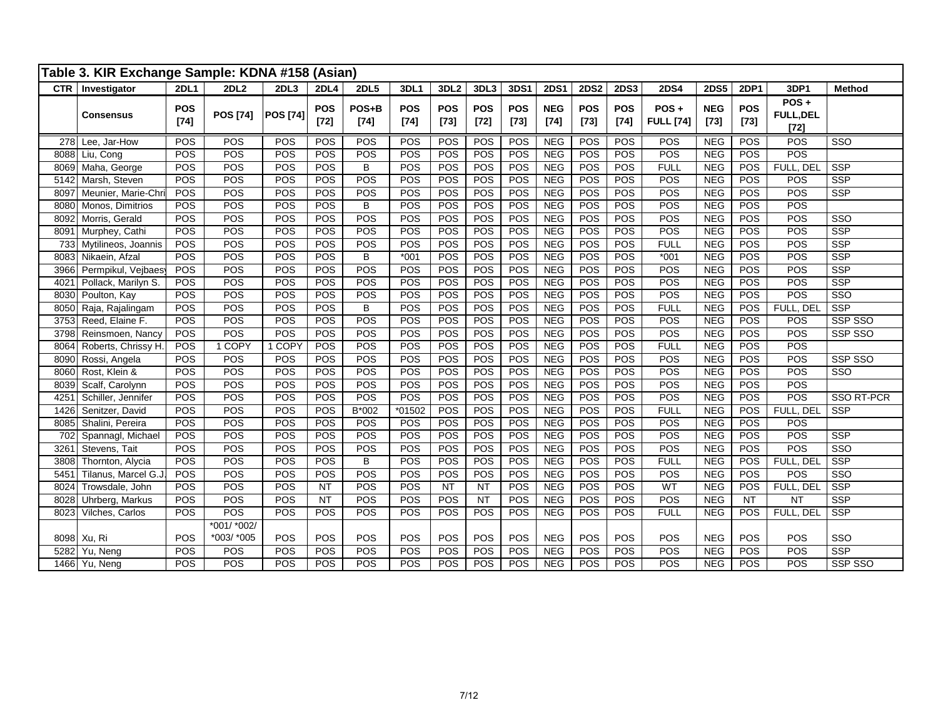|      | Table 3. KIR Exchange Sample: KDNA #158 (Asian) |                      |                           |                 |               |                 |                      |                      |                      |                      |                      |                      |                      |                          |                      |                      |                                       |                         |
|------|-------------------------------------------------|----------------------|---------------------------|-----------------|---------------|-----------------|----------------------|----------------------|----------------------|----------------------|----------------------|----------------------|----------------------|--------------------------|----------------------|----------------------|---------------------------------------|-------------------------|
|      | CTR   Investigator                              | <b>2DL1</b>          | 2DL2                      | 2DL3            | 2DL4          | <b>2DL5</b>     | 3DL1                 | 3DL <sub>2</sub>     | 3DL3                 | 3DS1                 | <b>2DS1</b>          | <b>2DS2</b>          | <b>2DS3</b>          | <b>2DS4</b>              | <b>2DS5</b>          | 2DP1                 | 3DP1                                  | Method                  |
|      | <b>Consensus</b>                                | <b>POS</b><br>$[74]$ | <b>POS [74]</b>           | <b>POS [74]</b> | POS<br>$[72]$ | POS+B<br>$[74]$ | <b>POS</b><br>$[74]$ | <b>POS</b><br>$[73]$ | <b>POS</b><br>$[72]$ | <b>POS</b><br>$[73]$ | <b>NEG</b><br>$[74]$ | <b>POS</b><br>$[73]$ | <b>POS</b><br>$[74]$ | POS+<br><b>FULL [74]</b> | <b>NEG</b><br>$[73]$ | <b>POS</b><br>$[73]$ | $POS +$<br><b>FULL, DEL</b><br>$[72]$ |                         |
|      | 278 Lee, Jar-How                                | POS                  | POS                       | POS             | POS           | <b>POS</b>      | POS                  | POS                  | POS                  | POS                  | <b>NEG</b>           | POS                  | <b>POS</b>           | <b>POS</b>               | <b>NEG</b>           | <b>POS</b>           | <b>POS</b>                            | $\overline{\text{SSO}}$ |
|      | 8088 Liu, Cong                                  | POS                  | POS                       | POS             | POS           | POS             | POS                  | POS                  | POS                  | POS                  | NEG                  | POS                  | POS                  | POS                      | <b>NEG</b>           | POS                  | POS                                   |                         |
| 8069 | Maha, George                                    | POS                  | POS                       | POS             | POS           | B               | POS                  | POS                  | POS                  | POS                  | NEG                  | POS                  | POS                  | <b>FULL</b>              | <b>NEG</b>           | POS                  | FULL, DEL                             | <b>SSP</b>              |
| 5142 | Marsh, Steven                                   | POS                  | POS                       | POS             | POS           | POS             | POS                  | POS                  | POS                  | POS                  | NEG                  | POS                  | POS                  | POS                      | <b>NEG</b>           | POS                  | POS                                   | SSP                     |
| 8097 | Meunier, Marie-Chri                             | POS                  | POS                       | POS             | POS           | POS             | POS                  | POS                  | POS                  | POS                  | <b>NEG</b>           | POS                  | POS                  | POS                      | <b>NEG</b>           | POS                  | POS                                   | SSP                     |
| 8080 | Monos, Dimitrios                                | POS                  | POS                       | POS             | <b>POS</b>    | B               | POS                  | POS                  | POS                  | POS                  | NEG                  | POS                  | POS                  | POS                      | <b>NEG</b>           | <b>POS</b>           | POS                                   |                         |
| 8092 | Morris, Gerald                                  | POS                  | POS                       | POS             | POS           | POS             | POS                  | POS                  | POS                  | POS                  | NEG                  | POS                  | POS                  | POS                      | <b>NEG</b>           | POS                  | POS                                   | $\overline{\text{SSO}}$ |
| 8091 | Murphey, Cathi                                  | POS                  | POS                       | POS             | POS           | <b>POS</b>      | POS                  | POS                  | POS                  | POS                  | <b>NEG</b>           | POS                  | <b>POS</b>           | POS                      | <b>NEG</b>           | <b>POS</b>           | POS                                   | SSP                     |
| 733  | Mytilineos, Joannis                             | POS                  | POS                       | POS             | POS           | POS             | POS                  | <b>POS</b>           | POS                  | POS                  | <b>NEG</b>           | POS                  | POS                  | <b>FULL</b>              | <b>NEG</b>           | <b>POS</b>           | POS                                   | <b>SSP</b>              |
| 8083 | Nikaein, Afzal                                  | POS                  | POS                       | POS             | POS           | B               | $*001$               | POS                  | POS                  | POS                  | <b>NEG</b>           | POS                  | POS                  | $*001$                   | <b>NEG</b>           | POS                  | POS                                   | SSP                     |
| 3966 | Permpikul, Vejbaes                              | POS                  | POS                       | POS             | POS           | POS             | POS                  | POS                  | POS                  | POS                  | NEG                  | POS                  | POS                  | POS                      | <b>NEG</b>           | POS                  | POS                                   | <b>SSP</b>              |
| 4021 | Pollack, Marilyn S.                             | POS                  | POS                       | POS             | POS           | POS             | POS                  | POS                  | POS                  | POS                  | NEG                  | POS                  | POS                  | POS                      | NEG                  | POS                  | POS                                   | SSP                     |
| 8030 | Poulton, Kay                                    | POS                  | POS                       | <b>POS</b>      | <b>POS</b>    | <b>POS</b>      | POS                  | POS                  | POS                  | POS                  | NEG                  | POS                  | <b>POS</b>           | POS                      | <b>NEG</b>           | <b>POS</b>           | POS                                   | $\overline{\text{SSO}}$ |
| 8050 | Raja, Rajalingam                                | POS                  | POS                       | POS             | <b>POS</b>    | B               | POS                  | POS                  | POS                  | POS                  | <b>NEG</b>           | POS                  | POS                  | <b>FULL</b>              | <b>NEG</b>           | POS                  | FULL, DEL                             | SSP                     |
| 3753 | Reed, Elaine F.                                 | POS                  | POS                       | POS             | POS           | POS             | POS                  | POS                  | POS                  | POS                  | <b>NEG</b>           | POS                  | POS                  | POS                      | <b>NEG</b>           | POS                  | POS                                   | SSP SSO                 |
| 3798 | Reinsmoen, Nancy                                | POS                  | POS                       | POS             | POS           | POS             | POS                  | POS                  | POS                  | POS                  | NEG                  | POS                  | POS                  | POS                      | <b>NEG</b>           | POS                  | POS                                   | SSP SSO                 |
| 8064 | Roberts, Chrissy H.                             | POS                  | 1 COPY                    | 1 COPY          | POS           | POS             | POS                  | POS                  | POS                  | POS                  | NEG                  | POS                  | POS                  | <b>FULL</b>              | <b>NEG</b>           | POS                  | POS                                   |                         |
| 8090 | Rossi, Angela                                   | POS                  | POS                       | POS             | <b>POS</b>    | POS             | POS                  | POS                  | POS                  | POS                  | NEG                  | POS                  | POS                  | POS                      | <b>NEG</b>           | POS                  | POS                                   | SSP SSO                 |
| 8060 | Rost, Klein &                                   | POS                  | POS                       | POS             | POS           | <b>POS</b>      | POS                  | POS                  | POS                  | POS                  | <b>NEG</b>           | POS                  | POS                  | POS                      | <b>NEG</b>           | POS                  | POS                                   | SSO                     |
| 8039 | Scalf, Carolynn                                 | POS                  | POS                       | POS             | POS           | POS             | POS                  | POS                  | POS                  | POS                  | <b>NEG</b>           | POS                  | POS                  | POS                      | <b>NEG</b>           | POS                  | POS                                   |                         |
| 4251 | Schiller, Jennifer                              | POS                  | POS                       | POS             | POS           | POS             | POS                  | POS                  | POS                  | POS                  | <b>NEG</b>           | POS                  | POS                  | POS                      | <b>NEG</b>           | POS                  | POS                                   | SSO RT-PCR              |
| 1426 | Senitzer, David                                 | POS                  | POS                       | POS             | POS           | $B*002$         | $*01502$             | POS                  | POS                  | POS                  | NEG                  | POS                  | POS                  | <b>FULL</b>              | <b>NEG</b>           | POS                  | FULL, DEL                             | SSP                     |
| 8085 | Shalini, Pereira                                | POS                  | POS                       | <b>POS</b>      | POS           | <b>POS</b>      | POS                  | POS                  | POS                  | POS                  | NEG                  | POS                  | <b>POS</b>           | <b>POS</b>               | <b>NEG</b>           | <b>POS</b>           | POS                                   |                         |
| 702  | Spannagl, Michael                               | POS                  | POS                       | POS             | <b>POS</b>    | POS             | POS                  | POS                  | POS                  | POS                  | <b>NEG</b>           | POS                  | POS                  | POS                      | <b>NEG</b>           | POS                  | POS                                   | <b>SSP</b>              |
| 3261 | Stevens, Tait                                   | POS                  | POS                       | POS             | POS           | POS             | POS                  | POS                  | POS                  | POS                  | <b>NEG</b>           | POS                  | POS                  | POS                      | <b>NEG</b>           | POS                  | POS                                   | SSO                     |
| 3808 | Thornton, Alycia                                | POS                  | POS                       | POS             | POS           | B               | POS                  | POS                  | POS                  | POS                  | <b>NEG</b>           | POS                  | POS                  | <b>FULL</b>              | <b>NEG</b>           | POS                  | FULL, DEL                             | SSP                     |
| 5451 | Tilanus, Marcel G.J                             | POS                  | POS                       | POS             | POS           | POS             | POS                  | POS                  | POS                  | POS                  | NEG                  | POS                  | POS                  | POS                      | NEG                  | POS                  | POS                                   | $\overline{\text{SSO}}$ |
| 8024 | Trowsdale, John                                 | POS                  | POS                       | POS             | NT            | POS             | POS                  | <b>NT</b>            | NT                   | POS                  | NEG                  | POS                  | POS                  | WT                       | <b>NEG</b>           | POS                  | FULL, DEL                             | SSP                     |
| 8028 | Uhrberg, Markus                                 | POS                  | POS                       | POS             | <b>NT</b>     | <b>POS</b>      | POS                  | POS                  | <b>NT</b>            | POS                  | <b>NEG</b>           | POS                  | POS                  | POS                      | <b>NEG</b>           | <b>NT</b>            | NT                                    | <b>SSP</b>              |
| 8023 | Vilches, Carlos                                 | POS                  | POS                       | POS             | POS           | <b>POS</b>      | POS                  | POS                  | POS                  | POS                  | <b>NEG</b>           | POS                  | POS                  | <b>FULL</b>              | <b>NEG</b>           | POS                  | FULL, DEL                             | SSP                     |
| 8098 | Xu, Ri                                          | POS                  | *001/ *002/<br>*003/ *005 | POS             | POS           | POS             | POS                  | POS                  | POS                  | POS                  | <b>NEG</b>           | POS                  | POS                  | POS                      | <b>NEG</b>           | POS                  | POS                                   | SSO                     |
| 5282 | Yu, Neng                                        | POS                  | POS                       | POS             | POS           | <b>POS</b>      | POS                  | POS                  | POS                  | POS                  | NEG                  | POS                  | POS                  | POS                      | <b>NEG</b>           | <b>POS</b>           | POS                                   | SSP                     |
|      |                                                 |                      |                           |                 |               |                 |                      |                      |                      |                      |                      |                      |                      |                          |                      |                      |                                       |                         |
|      | 1466 Yu, Neng                                   | POS                  | POS                       | POS             | POS           | POS             | POS                  | POS                  | POS                  | POS                  | <b>NEG</b>           | POS                  | POS                  | POS                      | <b>NEG</b>           | POS                  | POS                                   | SSP SSO                 |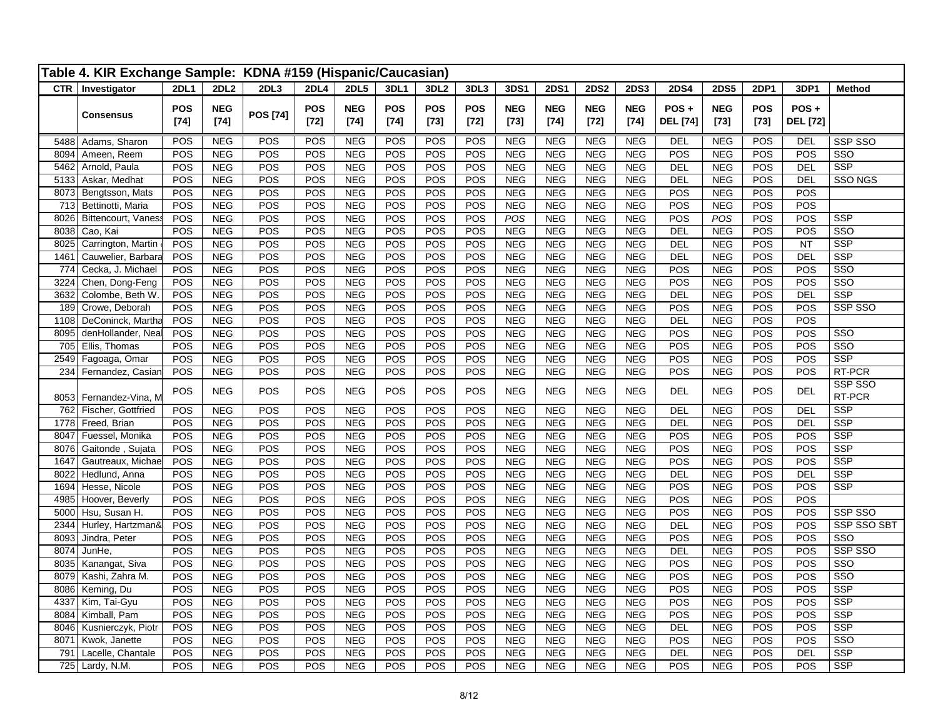|              | Table 4. KIR Exchange Sample: KDNA #159 (Hispanic/Caucasian) |                      |                          |                  |                      |                          |                      |                  |                      |                          |                          |                          |                          |                         |                          |               |                         |                                       |
|--------------|--------------------------------------------------------------|----------------------|--------------------------|------------------|----------------------|--------------------------|----------------------|------------------|----------------------|--------------------------|--------------------------|--------------------------|--------------------------|-------------------------|--------------------------|---------------|-------------------------|---------------------------------------|
|              | $\overline{\text{CTR}}$   Investigator                       | 2DL1                 | 2DL2                     | 2DL3             | <b>2DL4</b>          | 2DL5                     | 3DL1                 | 3DL <sub>2</sub> | 3DL3                 | 3DS1                     | <b>2DS1</b>              | <b>2DS2</b>              | <b>2DS3</b>              | <b>2DS4</b>             | <b>2DS5</b>              | 2DP1          | 3DP1                    | <b>Method</b>                         |
|              | <b>Consensus</b>                                             | <b>POS</b><br>$[74]$ | <b>NEG</b><br>$[74]$     | <b>POS [74]</b>  | <b>POS</b><br>$[72]$ | <b>NEG</b><br>$[74]$     | <b>POS</b><br>$[74]$ | POS<br>$[73]$    | <b>POS</b><br>$[72]$ | <b>NEG</b><br>$[73]$     | <b>NEG</b><br>$[74]$     | <b>NEG</b><br>$[72]$     | <b>NEG</b><br>$[74]$     | POS+<br><b>DEL</b> [74] | <b>NEG</b><br>$[73]$     | POS<br>$[73]$ | POS+<br><b>DEL</b> [72] |                                       |
| 5488         | Adams, Sharon                                                | POS                  | <b>NEG</b>               | POS              | POS                  | <b>NEG</b>               | POS                  | POS              | POS                  | <b>NEG</b>               | <b>NEG</b>               | <b>NEG</b>               | <b>NEG</b>               | DEL                     | <b>NEG</b>               | <b>POS</b>    | DEL                     | SSP SSO                               |
| 8094         | Ameen, Reem                                                  | POS                  | <b>NEG</b>               | POS              | POS                  | <b>NEG</b>               | POS                  | POS              | POS                  | <b>NEG</b>               | <b>NEG</b>               | <b>NEG</b>               | <b>NEG</b>               | POS                     | <b>NEG</b>               | POS           | POS                     | SSO                                   |
| 5462         | Arnold, Paula                                                | POS                  | <b>NEG</b>               | POS              | POS                  | <b>NEG</b>               | POS                  | POS              | POS                  | <b>NEG</b>               | <b>NEG</b>               | <b>NEG</b>               | NEG                      | DEL                     | <b>NEG</b>               | POS           | DEL                     | <b>SSP</b>                            |
| 5133         | Askar, Medhat                                                | POS<br>POS           | <b>NEG</b><br><b>NEG</b> | POS<br>POS       | POS<br>POS           | <b>NEG</b><br><b>NEG</b> | POS<br>POS           | POS<br>POS       | POS<br>POS           | <b>NEG</b><br><b>NEG</b> | NEG<br><b>NEG</b>        | <b>NEG</b><br><b>NEG</b> | NEG<br><b>NEG</b>        | DEL<br>POS              | <b>NEG</b><br><b>NEG</b> | POS<br>POS    | <b>DEL</b><br>POS       | <b>SSO NGS</b>                        |
| 8073<br>713  | Bengtsson, Mats<br>Bettinotti, Maria                         | POS                  | <b>NEG</b>               | POS              | POS                  | <b>NEG</b>               | POS                  | POS              | POS                  | <b>NEG</b>               | <b>NEG</b>               | <b>NEG</b>               | <b>NEG</b>               | POS                     | <b>NEG</b>               | POS           | POS                     |                                       |
| 8026         | Bittencourt, Vaness                                          | POS                  | <b>NEG</b>               | POS              | POS                  | <b>NEG</b>               | POS                  | POS              | POS                  | POS                      | <b>NEG</b>               | <b>NEG</b>               | <b>NEG</b>               | POS                     | POS                      | POS           | POS                     | <b>SSP</b>                            |
| 8038         | Cao, Kai                                                     | POS                  | <b>NEG</b>               | POS              | POS                  | <b>NEG</b>               | POS                  | POS              | POS                  | <b>NEG</b>               | <b>NEG</b>               | <b>NEG</b>               | <b>NEG</b>               | DEL                     | <b>NEG</b>               | POS           | POS                     | $\overline{\text{SSO}}$               |
| 8025         | Carrington, Martin                                           | POS                  | <b>NEG</b>               | POS              | POS                  | <b>NEG</b>               | POS                  | POS              | POS                  | <b>NEG</b>               | <b>NEG</b>               | <b>NEG</b>               | <b>NEG</b>               | <b>DEL</b>              | <b>NEG</b>               | POS           | <b>NT</b>               | <b>SSP</b>                            |
| 1461         | Cauwelier, Barbara                                           | POS                  | <b>NEG</b>               | POS              | POS                  | <b>NEG</b>               | POS                  | POS              | POS                  | <b>NEG</b>               | <b>NEG</b>               | <b>NEG</b>               | <b>NEG</b>               | DEL                     | <b>NEG</b>               | POS           | <b>DEL</b>              | <b>SSP</b>                            |
| 774          | Cecka, J. Michael                                            | POS                  | <b>NEG</b>               | POS              | POS                  | <b>NEG</b>               | POS                  | POS              | POS                  | <b>NEG</b>               | <b>NEG</b>               | <b>NEG</b>               | <b>NEG</b>               | POS                     | <b>NEG</b>               | POS           | POS                     | SSO                                   |
| 3224         | Chen, Dong-Feng                                              | POS                  | <b>NEG</b>               | POS              | POS                  | <b>NEG</b>               | POS                  | POS              | POS                  | <b>NEG</b>               | <b>NEG</b>               | <b>NEG</b>               | <b>NEG</b>               | POS                     | <b>NEG</b>               | POS           | POS                     | SSO                                   |
| 3632         | Colombe, Beth W                                              | POS                  | <b>NEG</b>               | POS              | POS                  | <b>NEG</b>               | POS                  | POS              | POS                  | <b>NEG</b>               | <b>NEG</b>               | <b>NEG</b>               | <b>NEG</b>               | <b>DEL</b>              | <b>NEG</b>               | POS           | <b>DEL</b>              | <b>SSP</b>                            |
| 189          | Crowe, Deborah                                               | POS                  | <b>NEG</b>               | POS              | POS                  | <b>NEG</b>               | POS                  | POS              | POS                  | <b>NEG</b>               | <b>NEG</b>               | <b>NEG</b>               | <b>NEG</b>               | POS                     | <b>NEG</b>               | POS           | POS                     | SSP SSO                               |
| 1108         | DeConinck, Martha                                            | POS                  | <b>NEG</b>               | POS              | POS                  | <b>NEG</b>               | POS                  | POS              | POS                  | <b>NEG</b>               | <b>NEG</b>               | <b>NEG</b>               | <b>NEG</b>               | <b>DEL</b>              | <b>NEG</b>               | POS           | POS                     |                                       |
| 8095         | denHollander, Neal                                           | POS                  | <b>NEG</b>               | POS              | POS                  | <b>NEG</b>               | POS                  | POS              | POS                  | <b>NEG</b>               | <b>NEG</b>               | <b>NEG</b>               | <b>NEG</b>               | POS                     | <b>NEG</b>               | POS           | POS                     | $\overline{\text{SSO}}$               |
| 705          | Ellis, Thomas                                                | POS                  | <b>NEG</b>               | $\overline{POS}$ | POS                  | <b>NEG</b>               | POS                  | POS              | POS                  | <b>NEG</b>               | <b>NEG</b>               | <b>NEG</b>               | <b>NEG</b>               | POS                     | <b>NEG</b>               | POS           | POS                     | $\overline{\text{SSO}}$<br><b>SSP</b> |
| 2549<br>234  | Fagoaga, Omar                                                | POS                  | <b>NEG</b>               | POS              | POS                  | <b>NEG</b>               | POS                  | POS              | POS                  | <b>NEG</b>               | <b>NEG</b>               | <b>NEG</b>               | <b>NEG</b>               | POS                     | <b>NEG</b>               | POS           | POS<br>POS              | RT-PCR                                |
|              | Fernandez, Casian                                            | POS                  | <b>NEG</b>               | POS              | POS                  | <b>NEG</b>               | POS                  | POS              | POS                  | <b>NEG</b>               | <b>NEG</b>               | <b>NEG</b>               | <b>NEG</b>               | POS                     | <b>NEG</b>               | POS           |                         | SSP SSO                               |
| 8053         | Fernandez-Vina, M                                            | POS                  | <b>NEG</b>               | POS              | POS                  | <b>NEG</b>               | POS                  | POS              | POS                  | <b>NEG</b>               | <b>NEG</b>               | <b>NEG</b>               | <b>NEG</b>               | <b>DEL</b>              | <b>NEG</b>               | POS           | <b>DEL</b>              | RT-PCR                                |
| 762          | Fischer, Gottfried                                           | POS                  | <b>NEG</b>               | POS              | POS                  | <b>NEG</b>               | POS                  | POS              | POS                  | <b>NEG</b>               | <b>NEG</b>               | <b>NEG</b>               | <b>NEG</b>               | <b>DEL</b>              | <b>NEG</b>               | POS           | <b>DEL</b>              | <b>SSP</b>                            |
| 1778         | Freed, Brian                                                 | POS                  | <b>NEG</b>               | POS              | POS                  | <b>NEG</b>               | POS                  | POS              | POS                  | <b>NEG</b>               | <b>NEG</b>               | <b>NEG</b>               | <b>NEG</b>               | <b>DEL</b>              | <b>NEG</b>               | POS           | <b>DEL</b>              | <b>SSP</b>                            |
| 8047<br>8076 | Fuessel, Monika                                              | POS<br>POS           | <b>NEG</b><br><b>NEG</b> | POS<br>POS       | POS<br>POS           | <b>NEG</b><br><b>NEG</b> | POS<br>POS           | POS<br>POS       | POS<br>POS           | <b>NEG</b><br><b>NEG</b> | <b>NEG</b><br><b>NEG</b> | <b>NEG</b><br><b>NEG</b> | <b>NEG</b><br><b>NEG</b> | POS                     | <b>NEG</b><br><b>NEG</b> | POS<br>POS    | POS<br>POS              | <b>SSP</b><br><b>SSP</b>              |
| 1647         | Gaitonde, Sujata<br>Gautreaux, Michae                        | POS                  | <b>NEG</b>               | POS              | POS                  | <b>NEG</b>               | POS                  | POS              | POS                  | <b>NEG</b>               | <b>NEG</b>               | <b>NEG</b>               | <b>NEG</b>               | POS<br>POS              | <b>NEG</b>               | POS           | POS                     | <b>SSP</b>                            |
| 8022         | Hedlund, Anna                                                | POS                  | <b>NEG</b>               | POS              | POS                  | <b>NEG</b>               | POS                  | POS              | POS                  | <b>NEG</b>               | <b>NEG</b>               | <b>NEG</b>               | <b>NEG</b>               | DEL                     | <b>NEG</b>               | POS           | <b>DEL</b>              | <b>SSP</b>                            |
| 1694         | Hesse, Nicole                                                | POS                  | <b>NEG</b>               | POS              | POS                  | <b>NEG</b>               | POS                  | POS              | POS                  | <b>NEG</b>               | <b>NEG</b>               | <b>NEG</b>               | <b>NEG</b>               | POS                     | <b>NEG</b>               | POS           | POS                     | <b>SSP</b>                            |
| 4985         | Hoover, Beverly                                              | POS                  | <b>NEG</b>               | POS              | POS                  | <b>NEG</b>               | POS                  | POS              | POS                  | <b>NEG</b>               | <b>NEG</b>               | <b>NEG</b>               | <b>NEG</b>               | POS                     | <b>NEG</b>               | POS           | POS                     |                                       |
| 5000         | Hsu, Susan H.                                                | POS                  | <b>NEG</b>               | POS              | POS                  | <b>NEG</b>               | POS                  | POS              | POS                  | <b>NEG</b>               | <b>NEG</b>               | <b>NEG</b>               | <b>NEG</b>               | POS                     | <b>NEG</b>               | POS           | POS                     | SSP SSO                               |
| 2344         | Hurley, Hartzman&                                            | POS                  | <b>NEG</b>               | POS              | POS                  | <b>NEG</b>               | POS                  | POS              | POS                  | <b>NEG</b>               | <b>NEG</b>               | <b>NEG</b>               | <b>NEG</b>               | DEL                     | <b>NEG</b>               | POS           | POS                     | SSP SSO SBT                           |
| 8093         | Jindra, Peter                                                | POS                  | <b>NEG</b>               | POS              | POS                  | NEG                      | POS                  | POS              | POS                  | <b>NEG</b>               | <b>NEG</b>               | <b>NEG</b>               | <b>NEG</b>               | POS                     | <b>NEG</b>               | POS           | POS                     | SSO                                   |
| 8074         | JunHe,                                                       | POS                  | <b>NEG</b>               | POS              | POS                  | <b>NEG</b>               | POS                  | POS              | POS                  | <b>NEG</b>               | <b>NEG</b>               | <b>NEG</b>               | <b>NEG</b>               | DEL                     | <b>NEG</b>               | POS           | POS                     | SSP SSO                               |
| 8035         | Kanangat, Siva                                               | POS                  | NEG                      | POS              | POS                  | <b>NEG</b>               | POS                  | POS              | POS                  | NEG                      | <b>NEG</b>               | <b>NEG</b>               | <b>NEG</b>               | POS                     | NEG                      | POS           | POS                     | SSO                                   |
| 8079         | Kashi, Zahra M.                                              | POS                  | <b>NEG</b>               | POS              | POS                  | <b>NEG</b>               | POS                  | POS              | POS                  | <b>NEG</b>               | <b>NEG</b>               | <b>NEG</b>               | <b>NEG</b>               | POS                     | <b>NEG</b>               | POS           | POS                     | SSO                                   |
| 8086         | Keming, Du                                                   | POS                  | <b>NEG</b>               | POS              | POS                  | <b>NEG</b>               | POS                  | POS              | POS                  | <b>NEG</b>               | <b>NEG</b>               | <b>NEG</b>               | <b>NEG</b>               | POS                     | <b>NEG</b>               | POS           | POS                     | <b>SSP</b>                            |
| 4337         | Kim, Tai-Gyu                                                 | POS                  | <b>NEG</b>               | POS              | POS                  | <b>NEG</b>               | POS                  | POS              | POS                  | <b>NEG</b>               | <b>NEG</b>               | <b>NEG</b>               | <b>NEG</b>               | POS                     | <b>NEG</b>               | POS           | POS                     | <b>SSP</b>                            |
| 8084         | Kimball, Pam                                                 | POS                  | <b>NEG</b>               | POS              | POS                  | <b>NEG</b>               | POS                  | POS              | POS                  | <b>NEG</b>               | <b>NEG</b>               | <b>NEG</b>               | <b>NEG</b>               | POS                     | <b>NEG</b>               | POS           | POS                     | <b>SSP</b>                            |
| 8046         | Kusnierczyk, Piotr                                           | POS                  | <b>NEG</b>               | POS              | POS                  | <b>NEG</b>               | POS                  | POS              | POS                  | <b>NEG</b>               | <b>NEG</b>               | <b>NEG</b>               | <b>NEG</b>               | DEL                     | <b>NEG</b>               | POS           | POS                     | <b>SSP</b>                            |
| 8071         | Kwok, Janette                                                | POS                  | <b>NEG</b>               | POS              | POS                  | <b>NEG</b>               | POS                  | POS              | POS                  | <b>NEG</b>               | <b>NEG</b>               | <b>NEG</b>               | <b>NEG</b>               | POS                     | <b>NEG</b>               | POS           | POS                     | SSO<br>$\overline{\text{SSP}}$        |
| 791          | Lacelle, Chantale<br>$\overline{725}$ Lardy, N.M.            | POS<br>POS           | <b>NEG</b><br><b>NEG</b> | POS<br>POS       | POS<br>POS           | NEG<br><b>NEG</b>        | POS<br>POS           | POS<br>POS       | POS<br>POS           | <b>NEG</b><br><b>NEG</b> | <b>NEG</b><br><b>NEG</b> | <b>NEG</b><br><b>NEG</b> | <b>NEG</b><br><b>NEG</b> | <b>DEL</b><br>POS       | <b>NEG</b><br><b>NEG</b> | POS<br>POS    | DEL<br>POS              | <b>SSP</b>                            |
|              |                                                              |                      |                          |                  |                      |                          |                      |                  |                      |                          |                          |                          |                          |                         |                          |               |                         |                                       |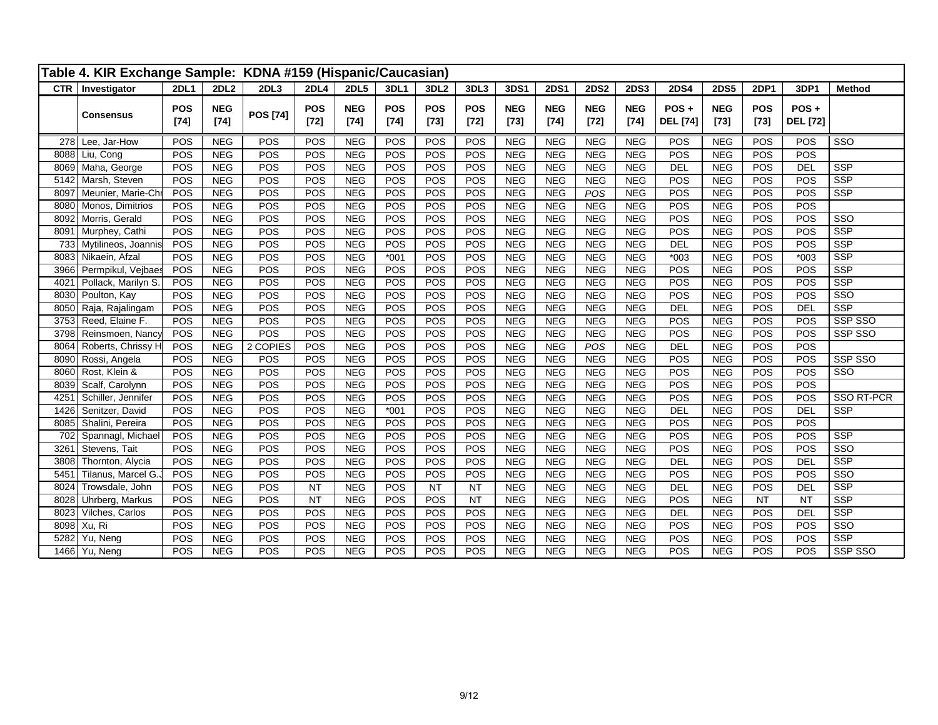|      | Table 4. KIR Exchange Sample: KDNA #159 (Hispanic/Caucasian) |                      |                      |                 |                      |                      |                      |                      |                      |                      |                      |                      |                      |                         |                      |                      |                         |                         |
|------|--------------------------------------------------------------|----------------------|----------------------|-----------------|----------------------|----------------------|----------------------|----------------------|----------------------|----------------------|----------------------|----------------------|----------------------|-------------------------|----------------------|----------------------|-------------------------|-------------------------|
|      | CTR   Investigator                                           | <b>2DL1</b>          | <b>2DL2</b>          | 2DL3            | <b>2DL4</b>          | 2DL5                 | 3DL1                 | 3DL <sub>2</sub>     | 3DL3                 | 3DS1                 | <b>2DS1</b>          | <b>2DS2</b>          | <b>2DS3</b>          | <b>2DS4</b>             | <b>2DS5</b>          | 2DP1                 | 3DP1                    | <b>Method</b>           |
|      | <b>Consensus</b>                                             | <b>POS</b><br>$[74]$ | <b>NEG</b><br>$[74]$ | <b>POS [74]</b> | <b>POS</b><br>$[72]$ | <b>NEG</b><br>$[74]$ | <b>POS</b><br>$[74]$ | <b>POS</b><br>$[73]$ | <b>POS</b><br>$[72]$ | <b>NEG</b><br>$[73]$ | <b>NEG</b><br>$[74]$ | <b>NEG</b><br>$[72]$ | <b>NEG</b><br>$[74]$ | POS+<br><b>DEL</b> [74] | <b>NEG</b><br>$[73]$ | <b>POS</b><br>$[73]$ | POS+<br><b>DEL</b> [72] |                         |
|      | 278 Lee, Jar-How                                             | POS                  | <b>NEG</b>           | POS             | POS                  | <b>NEG</b>           | POS                  | POS                  | POS                  | <b>NEG</b>           | <b>NEG</b>           | <b>NEG</b>           | <b>NEG</b>           | POS                     | <b>NEG</b>           | POS                  | POS                     | $\overline{\text{SSO}}$ |
| 8088 | Liu, Cong                                                    | POS                  | <b>NEG</b>           | POS             | POS                  | <b>NEG</b>           | POS                  | POS                  | POS                  | <b>NEG</b>           | <b>NEG</b>           | <b>NEG</b>           | <b>NEG</b>           | POS                     | <b>NEG</b>           | POS                  | POS                     |                         |
| 8069 | Maha, George                                                 | POS                  | <b>NEG</b>           | POS             | POS                  | <b>NEG</b>           | POS                  | POS                  | POS                  | <b>NEG</b>           | <b>NEG</b>           | <b>NEG</b>           | <b>NEG</b>           | <b>DEL</b>              | <b>NEG</b>           | POS                  | <b>DEL</b>              | <b>SSP</b>              |
| 5142 | Marsh, Steven                                                | POS                  | <b>NEG</b>           | POS             | POS                  | <b>NEG</b>           | POS                  | POS                  | POS                  | <b>NEG</b>           | <b>NEG</b>           | <b>NEG</b>           | NEG                  | POS                     | <b>NEG</b>           | POS                  | POS                     | <b>SSP</b>              |
| 8097 | Meunier, Marie-Chi                                           | POS                  | <b>NEG</b>           | POS             | POS                  | <b>NEG</b>           | POS                  | POS                  | POS                  | <b>NEG</b>           | <b>NEG</b>           | POS                  | <b>NEG</b>           | POS                     | <b>NEG</b>           | POS                  | POS                     | <b>SSP</b>              |
| 8080 | Monos, Dimitrios                                             | POS                  | <b>NEG</b>           | POS             | POS                  | <b>NEG</b>           | POS                  | POS                  | POS                  | <b>NEG</b>           | <b>NEG</b>           | <b>NEG</b>           | <b>NEG</b>           | POS                     | <b>NEG</b>           | POS                  | POS                     |                         |
| 8092 | Morris, Gerald                                               | POS                  | <b>NEG</b>           | POS             | POS                  | <b>NEG</b>           | POS                  | POS                  | POS                  | <b>NEG</b>           | <b>NEG</b>           | <b>NEG</b>           | <b>NEG</b>           | POS                     | <b>NEG</b>           | POS                  | POS                     | SSO                     |
| 8091 | Murphey, Cathi                                               | POS                  | <b>NEG</b>           | POS             | POS                  | <b>NEG</b>           | POS                  | POS                  | POS                  | <b>NEG</b>           | <b>NEG</b>           | <b>NEG</b>           | <b>NEG</b>           | POS                     | <b>NEG</b>           | POS                  | POS                     | <b>SSP</b>              |
|      | 733 Mytilineos, Joannis                                      | POS                  | <b>NEG</b>           | POS             | POS                  | <b>NEG</b>           | POS                  | POS                  | POS                  | <b>NEG</b>           | <b>NEG</b>           | <b>NEG</b>           | <b>NEG</b>           | <b>DEL</b>              | <b>NEG</b>           | POS                  | POS                     | <b>SSP</b>              |
| 8083 | Nikaein, Afzal                                               | POS                  | <b>NEG</b>           | POS             | POS                  | <b>NEG</b>           | $*001$               | POS                  | POS                  | <b>NEG</b>           | <b>NEG</b>           | <b>NEG</b>           | <b>NEG</b>           | $*003$                  | <b>NEG</b>           | POS                  | $*003$                  | <b>SSP</b>              |
| 3966 | Permpikul, Vejbaes                                           | POS                  | <b>NEG</b>           | POS             | POS                  | <b>NEG</b>           | POS                  | POS                  | POS                  | <b>NEG</b>           | <b>NEG</b>           | <b>NEG</b>           | <b>NEG</b>           | POS                     | <b>NEG</b>           | POS                  | POS                     | <b>SSP</b>              |
| 4021 | Pollack, Marilyn S.                                          | POS                  | <b>NEG</b>           | POS             | POS                  | <b>NEG</b>           | POS                  | POS                  | POS                  | <b>NEG</b>           | <b>NEG</b>           | <b>NEG</b>           | <b>NEG</b>           | POS                     | <b>NEG</b>           | POS                  | POS                     | <b>SSP</b>              |
| 8030 | Poulton, Kay                                                 | POS                  | <b>NEG</b>           | POS             | POS                  | <b>NEG</b>           | POS                  | POS                  | POS                  | <b>NEG</b>           | <b>NEG</b>           | <b>NEG</b>           | <b>NEG</b>           | POS                     | <b>NEG</b>           | POS                  | POS                     | SSO                     |
| 8050 | Raja, Rajalingam                                             | POS                  | <b>NEG</b>           | POS             | POS                  | <b>NEG</b>           | POS                  | POS                  | POS                  | <b>NEG</b>           | <b>NEG</b>           | <b>NEG</b>           | <b>NEG</b>           | <b>DEL</b>              | <b>NEG</b>           | POS                  | <b>DEL</b>              | SSP                     |
| 3753 | Reed, Elaine F.                                              | POS                  | <b>NEG</b>           | POS             | POS                  | <b>NEG</b>           | POS                  | POS                  | POS                  | <b>NEG</b>           | <b>NEG</b>           | <b>NEG</b>           | <b>NEG</b>           | POS                     | <b>NEG</b>           | POS                  | POS                     | SSP SSO                 |
| 3798 | Reinsmoen, Nancy                                             | POS                  | <b>NEG</b>           | POS             | POS                  | <b>NEG</b>           | POS                  | POS                  | POS                  | <b>NEG</b>           | <b>NEG</b>           | <b>NEG</b>           | <b>NEG</b>           | POS                     | <b>NEG</b>           | POS                  | POS                     | SSP SSO                 |
| 8064 | Roberts, Chrissy H                                           | POS                  | <b>NEG</b>           | 2 COPIES        | POS                  | <b>NEG</b>           | POS                  | POS                  | POS                  | <b>NEG</b>           | <b>NEG</b>           | POS                  | <b>NEG</b>           | <b>DEL</b>              | <b>NEG</b>           | POS                  | POS                     |                         |
| 8090 | Rossi, Angela                                                | POS                  | <b>NEG</b>           | POS             | POS                  | <b>NEG</b>           | POS                  | POS                  | POS                  | <b>NEG</b>           | <b>NEG</b>           | <b>NEG</b>           | <b>NEG</b>           | POS                     | <b>NEG</b>           | POS                  | POS                     | SSP SSO                 |
| 8060 | Rost, Klein &                                                | POS                  | <b>NEG</b>           | POS             | POS                  | <b>NEG</b>           | POS                  | POS                  | POS                  | <b>NEG</b>           | <b>NEG</b>           | <b>NEG</b>           | <b>NEG</b>           | POS                     | <b>NEG</b>           | POS                  | POS                     | SSO                     |
| 8039 | Scalf, Carolynn                                              | POS                  | <b>NEG</b>           | POS             | POS                  | <b>NEG</b>           | POS                  | POS                  | POS                  | <b>NEG</b>           | <b>NEG</b>           | <b>NEG</b>           | <b>NEG</b>           | POS                     | <b>NEG</b>           | POS                  | POS                     |                         |
| 4251 | Schiller, Jennifer                                           | POS                  | <b>NEG</b>           | POS             | POS                  | <b>NEG</b>           | POS                  | POS                  | POS                  | <b>NEG</b>           | <b>NEG</b>           | <b>NEG</b>           | <b>NEG</b>           | POS                     | <b>NEG</b>           | POS                  | POS                     | SSO RT-PCR              |
| 1426 | Senitzer, David                                              | POS                  | <b>NEG</b>           | POS             | POS                  | <b>NEG</b>           | $*001$               | POS                  | POS                  | <b>NEG</b>           | <b>NEG</b>           | <b>NEG</b>           | <b>NEG</b>           | <b>DEL</b>              | <b>NEG</b>           | POS                  | <b>DEL</b>              | <b>SSP</b>              |
| 8085 | Shalini, Pereira                                             | POS                  | <b>NEG</b>           | POS             | POS                  | <b>NEG</b>           | POS                  | POS                  | POS                  | <b>NEG</b>           | <b>NEG</b>           | <b>NEG</b>           | <b>NEG</b>           | POS                     | <b>NEG</b>           | POS                  | POS                     |                         |
| 702  | Spannagl, Michael                                            | POS                  | <b>NEG</b>           | POS             | POS                  | <b>NEG</b>           | POS                  | POS                  | POS                  | NEG                  | <b>NEG</b>           | <b>NEG</b>           | <b>NEG</b>           | POS                     | <b>NEG</b>           | POS                  | POS                     | <b>SSP</b>              |
| 3261 | Stevens, Tait                                                | POS                  | <b>NEG</b>           | POS             | POS                  | <b>NEG</b>           | POS                  | POS                  | POS                  | <b>NEG</b>           | <b>NEG</b>           | <b>NEG</b>           | <b>NEG</b>           | POS                     | <b>NEG</b>           | POS                  | POS                     | $\overline{\text{SSO}}$ |
| 3808 | Thornton, Alycia                                             | POS                  | <b>NEG</b>           | POS             | POS                  | <b>NEG</b>           | POS                  | POS                  | POS                  | <b>NEG</b>           | <b>NEG</b>           | <b>NEG</b>           | <b>NEG</b>           | <b>DEL</b>              | <b>NEG</b>           | POS                  | <b>DEL</b>              | <b>SSP</b>              |
| 5451 | Tilanus, Marcel G.                                           | POS                  | <b>NEG</b>           | POS             | POS                  | <b>NEG</b>           | POS                  | POS                  | POS                  | <b>NEG</b>           | <b>NEG</b>           | <b>NEG</b>           | <b>NEG</b>           | POS                     | <b>NEG</b>           | POS                  | POS                     | $\overline{\text{SSO}}$ |
| 8024 | Trowsdale, John                                              | POS                  | NEG                  | POS             | <b>NT</b>            | <b>NEG</b>           | POS                  | <b>NT</b>            | <b>NT</b>            | <b>NEG</b>           | <b>NEG</b>           | <b>NEG</b>           | <b>NEG</b>           | <b>DEL</b>              | <b>NEG</b>           | POS                  | <b>DEL</b>              | <b>SSP</b>              |
| 8028 | Uhrberg, Markus                                              | POS                  | <b>NEG</b>           | POS             | <b>NT</b>            | <b>NEG</b>           | <b>POS</b>           | POS                  | <b>NT</b>            | <b>NEG</b>           | <b>NEG</b>           | <b>NEG</b>           | <b>NEG</b>           | POS                     | <b>NEG</b>           | <b>NT</b>            | <b>NT</b>               | <b>SSP</b>              |
| 8023 | Vilches, Carlos                                              | POS                  | <b>NEG</b>           | POS             | POS                  | <b>NEG</b>           | POS                  | POS                  | POS                  | <b>NEG</b>           | <b>NEG</b>           | NEG                  | <b>NEG</b>           | <b>DEL</b>              | <b>NEG</b>           | POS                  | <b>DEL</b>              | <b>SSP</b>              |
| 8098 | Xu, Ri                                                       | POS                  | <b>NEG</b>           | POS             | POS                  | <b>NEG</b>           | POS                  | POS                  | POS                  | <b>NEG</b>           | <b>NEG</b>           | <b>NEG</b>           | <b>NEG</b>           | POS                     | <b>NEG</b>           | POS                  | POS                     | SSO                     |
| 5282 | Yu, Neng                                                     | POS                  | <b>NEG</b>           | POS             | POS                  | <b>NEG</b>           | POS                  | POS                  | POS                  | <b>NEG</b>           | <b>NEG</b>           | <b>NEG</b>           | <b>NEG</b>           | POS                     | <b>NEG</b>           | POS                  | POS                     | <b>SSP</b>              |
|      | 1466 Yu, Neng                                                | POS                  | <b>NEG</b>           | POS             | POS                  | <b>NEG</b>           | POS                  | POS                  | POS                  | <b>NEG</b>           | <b>NEG</b>           | <b>NEG</b>           | <b>NEG</b>           | POS                     | <b>NEG</b>           | POS                  | POS                     | SSP SSO                 |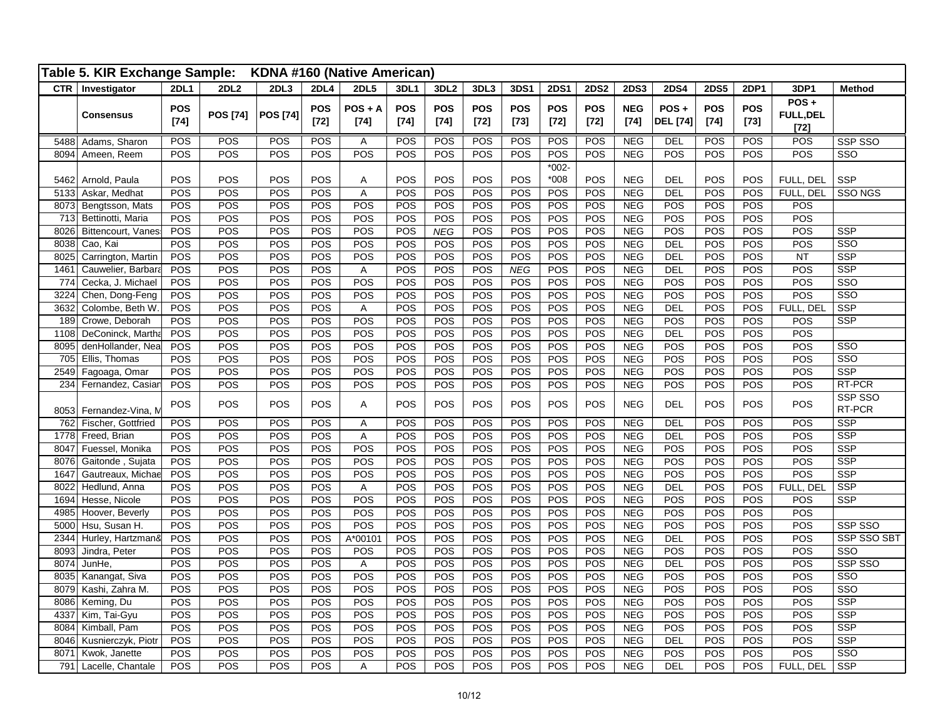|              | Table 5. KIR Exchange Sample:           |                      |                 | KDNA #160 (Native American) |                      |                     |                      |                      |               |                      |                      |                      |                          |                         |                      |                      |                                    |                          |
|--------------|-----------------------------------------|----------------------|-----------------|-----------------------------|----------------------|---------------------|----------------------|----------------------|---------------|----------------------|----------------------|----------------------|--------------------------|-------------------------|----------------------|----------------------|------------------------------------|--------------------------|
|              | CTR   Investigator                      | <b>2DL1</b>          | <b>2DL2</b>     | 2DL3                        | 2DL4                 | <b>2DL5</b>         | <b>3DL1</b>          | 3DL2                 | 3DL3          | <b>3DS1</b>          | <b>2DS1</b>          | <b>2DS2</b>          | <b>2DS3</b>              | <b>2DS4</b>             | <b>2DS5</b>          | <b>2DP1</b>          | 3DP1                               | <b>Method</b>            |
|              | <b>Consensus</b>                        | <b>POS</b><br>$[74]$ | <b>POS [74]</b> | <b>POS [74]</b>             | <b>POS</b><br>$[72]$ | $POS + A$<br>$[74]$ | <b>POS</b><br>$[74]$ | <b>POS</b><br>$[74]$ | POS<br>$[72]$ | <b>POS</b><br>$[73]$ | <b>POS</b><br>$[72]$ | <b>POS</b><br>$[72]$ | <b>NEG</b><br>$[74]$     | POS+<br><b>DEL</b> [74] | <b>POS</b><br>$[74]$ | <b>POS</b><br>$[73]$ | POS+<br><b>FULL, DEL</b><br>$[72]$ |                          |
| 5488         | Adams, Sharon                           | <b>POS</b>           | POS             | <b>POS</b>                  | <b>POS</b>           | Α                   | POS                  | POS                  | POS           | POS                  | POS                  | POS                  | <b>NEG</b>               | <b>DEL</b>              | POS                  | POS                  | POS                                | SSP SSO                  |
| 8094         | Ameen, Reem                             | POS                  | POS             | POS                         | POS                  | POS                 | POS                  | POS                  | POS           | POS                  | POS                  | POS                  | <b>NEG</b>               | POS                     | POS                  | POS                  | POS                                | SSO                      |
| 5462         | Arnold, Paula                           | POS                  | POS             | <b>POS</b>                  | POS                  | Α                   | POS                  | POS                  | POS           | POS                  | $*002-$<br>$*008$    | POS                  | <b>NEG</b>               | <b>DEL</b>              | POS                  | POS                  | FULL, DEL                          | <b>SSP</b>               |
| 5133         | Askar, Medhat                           | POS                  | POS             | POS                         | POS                  | A                   | POS                  | POS                  | POS           | POS                  | POS                  | POS                  | <b>NEG</b>               | <b>DEL</b>              | POS                  | POS                  | FULL, DEL                          | <b>SSO NGS</b>           |
| 8073         | Bengtsson, Mats                         | POS                  | POS             | POS                         | POS                  | POS                 | POS                  | POS                  | POS           | POS                  | POS                  | POS                  | <b>NEG</b>               | POS                     | POS                  | POS                  | POS                                |                          |
| 713          | Bettinotti, Maria                       | POS                  | POS             | POS                         | POS                  | POS                 | POS                  | POS                  | POS           | POS                  | POS                  | POS                  | NEG                      | POS                     | POS                  | POS                  | POS                                |                          |
| 8026         | Bittencourt, Vanes:                     | POS                  | POS             | POS                         | POS                  | POS                 | POS                  | <b>NEG</b>           | POS           | POS                  | POS                  | POS                  | <b>NEG</b>               | POS                     | POS                  | POS                  | POS                                | <b>SSP</b>               |
| 8038         | Cao, Kai                                | POS                  | POS             | POS                         | POS                  | POS                 | POS                  | POS                  | POS           | POS                  | POS                  | POS                  | <b>NEG</b>               | <b>DEL</b>              | POS                  | POS                  | POS                                | SSO                      |
| 8025         | Carrington, Martin                      | POS                  | POS             | POS                         | POS                  | POS                 | POS                  | POS                  | POS           | POS<br>NEG           | POS                  | POS                  | NEG                      | <b>DEL</b>              | POS                  | POS                  | <b>NT</b>                          | <b>SSP</b><br><b>SSP</b> |
| 1461<br>774  | Cauwelier, Barbara<br>Cecka, J. Michael | <b>POS</b><br>POS    | POS<br>POS      | POS<br>POS                  | POS<br>POS           | A<br>POS            | POS<br>POS           | POS<br>POS           | POS<br>POS    | POS                  | POS<br>POS           | POS<br>POS           | <b>NEG</b><br>NEG        | <b>DEL</b><br>POS       | POS<br>POS           | POS<br>POS           | POS<br>POS                         | SSO                      |
| 3224         | Chen, Dong-Feng                         | POS                  | POS             | POS                         | POS                  | POS                 | POS                  | POS                  | POS           | POS                  | POS                  | POS                  | <b>NEG</b>               | POS                     | POS                  | <b>POS</b>           | POS                                | SSO                      |
| 3632         | Colombe, Beth W.                        | POS                  | POS             | POS                         | POS                  | A                   | POS                  | POS                  | POS           | POS                  | POS                  | POS                  | <b>NEG</b>               | <b>DEL</b>              | POS                  | POS                  | FULL, DEL                          | <b>SSP</b>               |
| 189          | Crowe, Deborah                          | POS                  | POS             | POS                         | POS                  | POS                 | POS                  | POS                  | POS           | POS                  | POS                  | POS                  | <b>NEG</b>               | POS                     | POS                  | POS                  | POS                                | <b>SSP</b>               |
| 1108         | DeConinck, Martha                       | POS                  | POS             | POS                         | POS                  | POS                 | POS                  | POS                  | POS           | POS                  | POS                  | POS                  | <b>NEG</b>               | <b>DEL</b>              | POS                  | POS                  | POS                                |                          |
| 8095         | denHollander, Nea                       | <b>POS</b>           | POS             | POS                         | POS                  | POS                 | POS                  | POS                  | POS           | POS                  | POS                  | POS                  | <b>NEG</b>               | POS                     | POS                  | POS                  | POS                                | SSO                      |
| 705          | Ellis, Thomas                           | <b>POS</b>           | POS             | POS                         | POS                  | POS                 | POS                  | POS                  | POS           | POS                  | POS                  | POS                  | <b>NEG</b>               | POS                     | POS                  | POS                  | POS                                | SSO                      |
| 2549         | Fagoaga, Omar                           | POS                  | POS             | POS                         | POS                  | POS                 | POS                  | POS                  | POS           | POS                  | POS                  | POS                  | <b>NEG</b>               | POS                     | POS                  | POS                  | POS                                | <b>SSP</b>               |
| 234          | Fernandez, Casian                       | POS                  | POS             | POS                         | POS                  | POS                 | POS                  | POS                  | POS           | POS                  | POS                  | POS                  | <b>NEG</b>               | POS                     | POS                  | POS                  | POS                                | RT-PCR                   |
| 8053         | Fernandez-Vina, M                       | POS                  | POS             | POS                         | POS                  | А                   | POS                  | POS                  | POS           | POS                  | POS                  | POS                  | <b>NEG</b>               | DEL                     | POS                  | POS                  | POS                                | SSP SSO<br>RT-PCR        |
| 762          | Fischer, Gottfried                      | POS                  | POS             | POS                         | POS                  | Α                   | POS                  | POS                  | POS           | POS                  | POS                  | POS                  | <b>NEG</b>               | <b>DEL</b>              | POS                  | POS                  | POS                                | <b>SSP</b>               |
| 1778         | Freed, Brian                            | <b>POS</b>           | POS             | POS                         | POS                  | A                   | POS                  | POS                  | POS           | POS                  | POS                  | POS                  | <b>NEG</b>               | <b>DEL</b>              | POS                  | POS                  | POS                                | <b>SSP</b>               |
| 8047         | Fuessel, Monika                         | <b>POS</b>           | <b>POS</b>      | <b>POS</b>                  | <b>POS</b>           | POS                 | POS                  | POS                  | POS           | POS                  | POS                  | POS                  | <b>NEG</b>               | POS                     | POS                  | POS                  | POS                                | <b>SSP</b>               |
| 8076         | Gaitonde, Sujata                        | POS                  | POS             | POS                         | POS                  | POS                 | POS                  | POS                  | POS           | POS                  | POS                  | POS                  | <b>NEG</b>               | POS                     | POS                  | POS                  | POS                                | <b>SSP</b>               |
| 1647         | Gautreaux, Michae                       | POS                  | POS             | POS                         | POS                  | POS                 | POS                  | POS                  | POS           | POS                  | POS                  | POS                  | <b>NEG</b>               | POS                     | POS                  | POS                  | POS                                | <b>SSP</b>               |
| 8022<br>1694 | Hedlund, Anna<br>Hesse, Nicole          | POS<br>POS           | POS<br>POS      | POS<br>POS                  | POS<br>POS           | A<br>POS            | POS<br>POS           | POS<br>POS           | POS<br>POS    | POS<br>POS           | POS<br>POS           | POS<br>POS           | <b>NEG</b><br><b>NEG</b> | <b>DEL</b><br>POS       | POS<br>POS           | POS<br>POS           | FULL, DEL<br>POS                   | <b>SSP</b><br><b>SSP</b> |
| 4985         | Hoover, Beverly                         | POS                  | POS             | POS                         | POS                  | POS                 | POS                  | POS                  | POS           | POS                  | POS                  | POS                  | <b>NEG</b>               | POS                     | POS                  | POS                  | POS                                |                          |
| 5000         | Hsu, Susan H.                           | POS                  | POS             | POS                         | POS                  | POS                 | POS                  | POS                  | POS           | POS                  | POS                  | POS                  | <b>NEG</b>               | POS                     | POS                  | POS                  | POS                                | SSP SSO                  |
| 2344         | Hurley, Hartzman&                       | POS                  | POS             | POS                         | POS                  | A*00101             | POS                  | POS                  | POS           | POS                  | POS                  | POS                  | <b>NEG</b>               | <b>DEL</b>              | POS                  | POS                  | POS                                | SSP SSO SBT              |
| 8093         | Jindra, Peter                           | POS                  | POS             | POS                         | POS                  | POS                 | POS                  | POS                  | POS           | POS                  | POS                  | POS                  | <b>NEG</b>               | POS                     | POS                  | POS                  | POS                                | $\overline{\text{SSO}}$  |
| 8074         | JunHe,                                  | POS                  | POS             | POS                         | POS                  | A                   | POS                  | POS                  | POS           | POS                  | POS                  | POS                  | <b>NEG</b>               | DEL                     | POS                  | POS                  | POS                                | SSP SSO                  |
| 8035         | Kanangat, Siva                          | POS                  | POS             | POS                         | POS                  | POS                 | POS                  | POS                  | POS           | POS                  | POS                  | POS                  | <b>NEG</b>               | POS                     | POS                  | POS                  | POS                                | $\overline{\text{SSO}}$  |
| 8079         | Kashi, Zahra M.                         | <b>POS</b>           | POS             | POS                         | POS                  | POS                 | POS                  | <b>POS</b>           | POS           | POS                  | POS                  | POS                  | <b>NEG</b>               | POS                     | POS                  | POS                  | POS                                | $\overline{\text{SSO}}$  |
| 8086         | Keming, Du                              | POS                  | POS             | POS                         | POS                  | POS                 | POS                  | POS                  | POS           | POS                  | POS                  | POS                  | NEG                      | POS                     | POS                  | POS                  | POS                                | $\overline{\text{SSP}}$  |
| 4337         | Kim, Tai-Gyu                            | <b>POS</b>           | POS             | POS                         | POS                  | POS                 | POS                  | POS                  | POS           | POS                  | POS                  | POS                  | <b>NEG</b>               | POS                     | POS                  | POS                  | POS                                | <b>SSP</b>               |
| 8084         | Kimball, Pam                            | POS                  | POS             | POS                         | POS                  | POS                 | POS                  | POS                  | POS           | POS                  | POS                  | POS                  | NEG                      | POS                     | POS                  | POS                  | POS                                | <b>SSP</b>               |
| 8046         | Kusnierczyk, Piotr                      | POS                  | POS             | POS                         | POS                  | POS                 | POS                  | POS                  | POS           | POS                  | POS                  | POS                  | <b>NEG</b>               | <b>DEL</b>              | POS                  | POS                  | POS                                | <b>SSP</b>               |
| 8071         | Kwok, Janette                           | POS                  | POS             | POS                         | POS                  | POS                 | POS                  | POS                  | POS           | POS                  | POS                  | POS                  | <b>NEG</b>               | POS                     | POS                  | POS                  | POS                                | SSO                      |
|              | 791 Lacelle, Chantale                   | POS                  | POS             | POS                         | POS                  | A                   | POS                  | POS                  | POS           | POS                  | POS                  | POS                  | <b>NEG</b>               | <b>DEL</b>              | POS                  | POS                  | FULL, DEL                          | <b>SSP</b>               |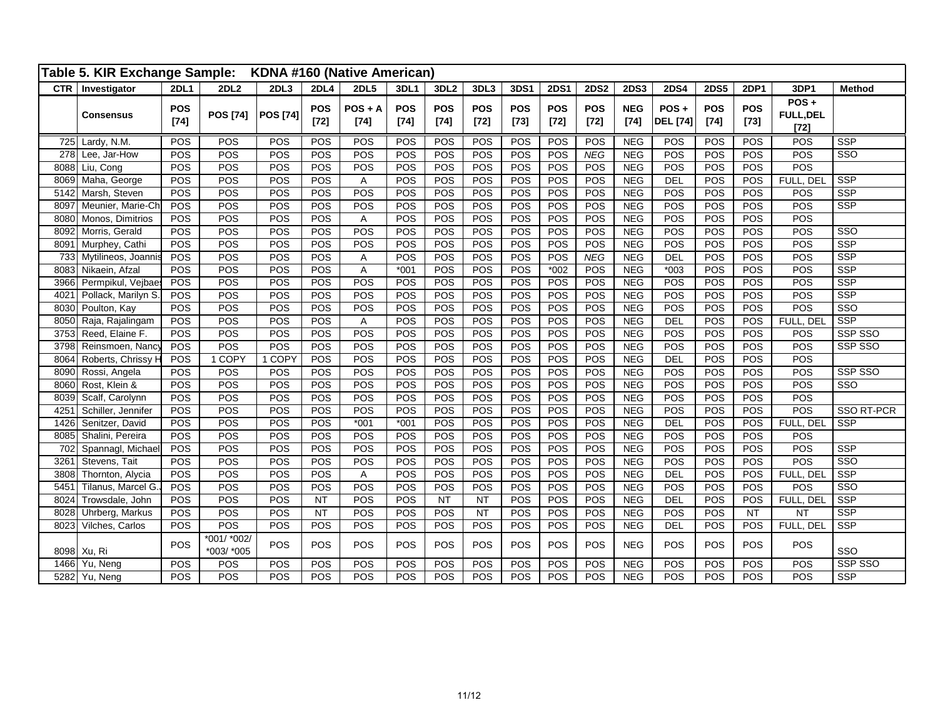|      | Table 5. KIR Exchange Sample: |                      |                           |                 |                      | KDNA #160 (Native American) |                      |                      |                      |                      |                      |                      |                      |                         |                      |                      |                                       |                         |
|------|-------------------------------|----------------------|---------------------------|-----------------|----------------------|-----------------------------|----------------------|----------------------|----------------------|----------------------|----------------------|----------------------|----------------------|-------------------------|----------------------|----------------------|---------------------------------------|-------------------------|
|      | CTR   Investigator            | 2DL1                 | 2DL <sub>2</sub>          | 2DL3            | 2DL4                 | 2DL5                        | 3DL1                 | 3DL <sub>2</sub>     | 3DL3                 | 3DS1                 | <b>2DS1</b>          | <b>2DS2</b>          | <b>2DS3</b>          | <b>2DS4</b>             | <b>2DS5</b>          | <b>2DP1</b>          | 3DP1                                  | <b>Method</b>           |
|      | <b>Consensus</b>              | <b>POS</b><br>$[74]$ | <b>POS [74]</b>           | <b>POS [74]</b> | <b>POS</b><br>$[72]$ | $POS + A$<br>$[74]$         | <b>POS</b><br>$[74]$ | <b>POS</b><br>$[74]$ | <b>POS</b><br>$[72]$ | <b>POS</b><br>$[73]$ | <b>POS</b><br>$[72]$ | <b>POS</b><br>$[72]$ | <b>NEG</b><br>$[74]$ | POS+<br><b>DEL</b> [74] | <b>POS</b><br>$[74]$ | <b>POS</b><br>$[73]$ | $POS +$<br><b>FULL, DEL</b><br>$[72]$ |                         |
|      | 725 Lardy, N.M.               | POS                  | POS                       | POS             | POS                  | POS                         | POS                  | POS                  | POS                  | POS                  | POS                  | POS                  | <b>NEG</b>           | POS                     | POS                  | POS                  | POS                                   | <b>SSP</b>              |
| 278  | Lee, Jar-How                  | POS                  | POS                       | POS             | POS                  | POS                         | POS                  | POS                  | POS                  | POS                  | POS                  | NEG                  | <b>NEG</b>           | POS                     | POS                  | POS                  | POS                                   | $\overline{\text{SSO}}$ |
| 8088 | Liu, Cong                     | POS                  | POS                       | POS             | POS                  | POS                         | POS                  | POS                  | POS                  | POS                  | POS                  | POS                  | <b>NEG</b>           | POS                     | POS                  | POS                  | POS                                   |                         |
| 8069 | Maha, George                  | <b>POS</b>           | POS                       | POS             | POS                  | A                           | POS                  | POS                  | POS                  | POS                  | POS                  | POS                  | <b>NEG</b>           | <b>DEL</b>              | POS                  | POS                  | FULL, DEL                             | <b>SSP</b>              |
| 5142 | Marsh, Steven                 | POS                  | POS                       | POS             | POS                  | POS                         | POS                  | POS                  | POS                  | POS                  | POS                  | POS                  | <b>NEG</b>           | POS                     | POS                  | POS                  | POS                                   | <b>SSP</b>              |
| 8097 | Meunier, Marie-Ch             | POS                  | POS                       | POS             | POS                  | POS                         | POS                  | POS                  | POS                  | POS                  | POS                  | POS                  | <b>NEG</b>           | POS                     | POS                  | POS                  | POS                                   | <b>SSP</b>              |
| 8080 | Monos, Dimitrios              | POS                  | POS                       | POS             | POS                  | Α                           | POS                  | POS                  | POS                  | POS                  | POS                  | POS                  | <b>NEG</b>           | POS                     | POS                  | POS                  | POS                                   |                         |
| 8092 | Morris, Gerald                | POS                  | POS                       | POS             | POS                  | POS                         | POS                  | POS                  | POS                  | POS                  | POS                  | POS                  | <b>NEG</b>           | POS                     | POS                  | POS                  | POS                                   | $\overline{\text{SSO}}$ |
| 8091 | Murphey, Cathi                | POS                  | POS                       | POS             | POS                  | POS                         | POS                  | POS                  | POS                  | POS                  | POS                  | POS                  | <b>NEG</b>           | POS                     | POS                  | POS                  | POS                                   | SSP                     |
| 733  | Mytilineos, Joannis           | POS                  | POS                       | POS             | POS                  | Α                           | POS                  | POS                  | POS                  | POS                  | POS                  | <b>NEG</b>           | <b>NEG</b>           | DEL                     | POS                  | POS                  | POS                                   | <b>SSP</b>              |
| 8083 | Nikaein, Afzal                | POS                  | POS                       | POS             | POS                  | A                           | $*001$               | POS                  | POS                  | POS                  | $*002$               | POS                  | <b>NEG</b>           | $*003$                  | POS                  | POS                  | POS                                   | <b>SSP</b>              |
| 3966 | Permpikul, Vejbaes            | POS                  | POS                       | POS             | POS                  | POS                         | POS                  | POS                  | POS                  | POS                  | POS                  | POS                  | <b>NEG</b>           | POS                     | POS                  | POS                  | POS                                   | <b>SSP</b>              |
| 4021 | Pollack, Marilyn S.           | POS                  | POS                       | POS             | POS                  | POS                         | POS                  | POS                  | POS                  | POS                  | POS                  | POS                  | <b>NEG</b>           | POS                     | POS                  | POS                  | POS                                   | <b>SSP</b>              |
| 8030 | Poulton, Kay                  | POS                  | POS                       | POS             | POS                  | POS                         | POS                  | POS                  | POS                  | POS                  | POS                  | POS                  | <b>NEG</b>           | POS                     | POS                  | POS                  | POS                                   | SSO                     |
| 8050 | Raja, Rajalingam              | POS                  | POS                       | POS             | POS                  | A                           | POS                  | POS                  | POS                  | POS                  | POS                  | POS                  | <b>NEG</b>           | <b>DEL</b>              | POS                  | POS                  | FULL, DEL                             | <b>SSP</b>              |
| 3753 | Reed, Elaine F.               | POS                  | POS                       | POS             | POS                  | POS                         | POS                  | POS                  | POS                  | POS                  | POS                  | POS                  | <b>NEG</b>           | POS                     | POS                  | POS                  | POS                                   | SSP SSO                 |
| 3798 | Reinsmoen, Nanc               | POS                  | POS                       | POS             | POS                  | POS                         | POS                  | POS                  | POS                  | POS                  | POS                  | POS                  | <b>NEG</b>           | POS                     | POS                  | POS                  | POS                                   | SSP SSO                 |
| 8064 | Roberts, Chrissy H            | POS                  | 1 COPY                    | 1 COPY          | POS                  | POS                         | POS                  | POS                  | POS                  | POS                  | POS                  | POS                  | <b>NEG</b>           | <b>DEL</b>              | POS                  | POS                  | POS                                   |                         |
| 8090 | Rossi, Angela                 | POS                  | POS                       | POS             | POS                  | POS                         | POS                  | POS                  | POS                  | POS                  | POS                  | POS                  | <b>NEG</b>           | POS                     | POS                  | POS                  | POS                                   | SSP SSO                 |
| 8060 | Rost, Klein &                 | POS                  | POS                       | POS             | POS                  | POS                         | POS                  | POS                  | POS                  | POS                  | POS                  | POS                  | <b>NEG</b>           | POS                     | POS                  | POS                  | POS                                   | $\overline{\text{SSO}}$ |
| 8039 | Scalf, Carolynn               | POS                  | POS                       | POS             | POS                  | POS                         | POS                  | POS                  | POS                  | POS                  | POS                  | POS                  | <b>NEG</b>           | POS                     | POS                  | POS                  | POS                                   |                         |
| 4251 | Schiller, Jennifer            | POS                  | POS                       | POS             | POS                  | POS                         | POS                  | POS                  | POS                  | POS                  | POS                  | POS                  | <b>NEG</b>           | POS                     | POS                  | POS                  | POS                                   | SSO RT-PCR              |
| 1426 | Senitzer, David               | POS                  | POS                       | POS             | POS                  | $*001$                      | $*001$               | POS                  | POS                  | POS                  | POS                  | POS                  | <b>NEG</b>           | <b>DEL</b>              | POS                  | POS                  | FULL, DEL                             | <b>SSP</b>              |
| 8085 | Shalini, Pereira              | POS                  | POS                       | POS             | POS                  | POS                         | POS                  | POS                  | POS                  | POS                  | POS                  | POS                  | <b>NEG</b>           | POS                     | POS                  | POS                  | POS                                   |                         |
| 702  | Spannagl, Michael             | POS                  | POS                       | POS             | POS                  | POS                         | POS                  | POS                  | POS                  | POS                  | POS                  | POS                  | <b>NEG</b>           | POS                     | POS                  | POS                  | POS                                   | <b>SSP</b>              |
| 3261 | Stevens, Tait                 | POS                  | POS                       | POS             | POS                  | POS                         | POS                  | POS                  | POS                  | POS                  | POS                  | POS                  | NEG                  | POS                     | POS                  | POS                  | POS                                   | $\overline{\text{SSO}}$ |
| 3808 | Thornton, Alycia              | POS                  | POS                       | POS             | POS                  | Α                           | POS                  | POS                  | POS                  | POS                  | POS                  | POS                  | <b>NEG</b>           | <b>DEL</b>              | POS                  | POS                  | FULL, DEL                             | <b>SSP</b>              |
| 5451 | Tilanus, Marcel G.            | POS                  | POS                       | POS             | POS                  | POS                         | POS                  | POS                  | POS                  | POS                  | POS                  | POS                  | <b>NEG</b>           | POS                     | POS                  | POS                  | POS                                   | $\overline{\text{SSO}}$ |
| 8024 | Trowsdale, John               | POS                  | POS                       | POS             | <b>NT</b>            | POS                         | POS                  | NT                   | <b>NT</b>            | POS                  | POS                  | POS                  | <b>NEG</b>           | DEL                     | POS                  | POS                  | FULL, DEL                             | SSP                     |
| 8028 | Uhrberg, Markus               | POS                  | POS                       | POS             | NT                   | POS                         | POS                  | POS                  | NT                   | POS                  | POS                  | POS                  | <b>NEG</b>           | POS                     | POS                  | <b>NT</b>            | <b>NT</b>                             | <b>SSP</b>              |
| 8023 | Vilches, Carlos               | POS                  | POS                       | POS             | POS                  | POS                         | POS                  | POS                  | POS                  | POS                  | POS                  | POS                  | <b>NEG</b>           | <b>DEL</b>              | POS                  | POS                  | FULL, DEL                             | <b>SSP</b>              |
|      | 8098 Xu, Ri                   | POS                  | *001/ *002/<br>*003/ *005 | POS             | POS                  | POS                         | POS                  | POS                  | POS                  | POS                  | POS                  | POS                  | <b>NEG</b>           | POS                     | POS                  | POS                  | POS                                   | SSO                     |
| 1466 | Yu, Neng                      | POS                  | <b>POS</b>                | POS             | POS                  | POS                         | POS                  | POS                  | POS                  | POS                  | POS                  | POS                  | <b>NEG</b>           | POS                     | POS                  | POS                  | POS                                   | SSP SSO                 |
|      | 5282 Yu, Neng                 | POS                  | POS                       | POS             | POS                  | POS                         | POS                  | POS                  | POS                  | POS                  | POS                  | POS                  | <b>NEG</b>           | POS                     | POS                  | POS                  | POS                                   | <b>SSP</b>              |